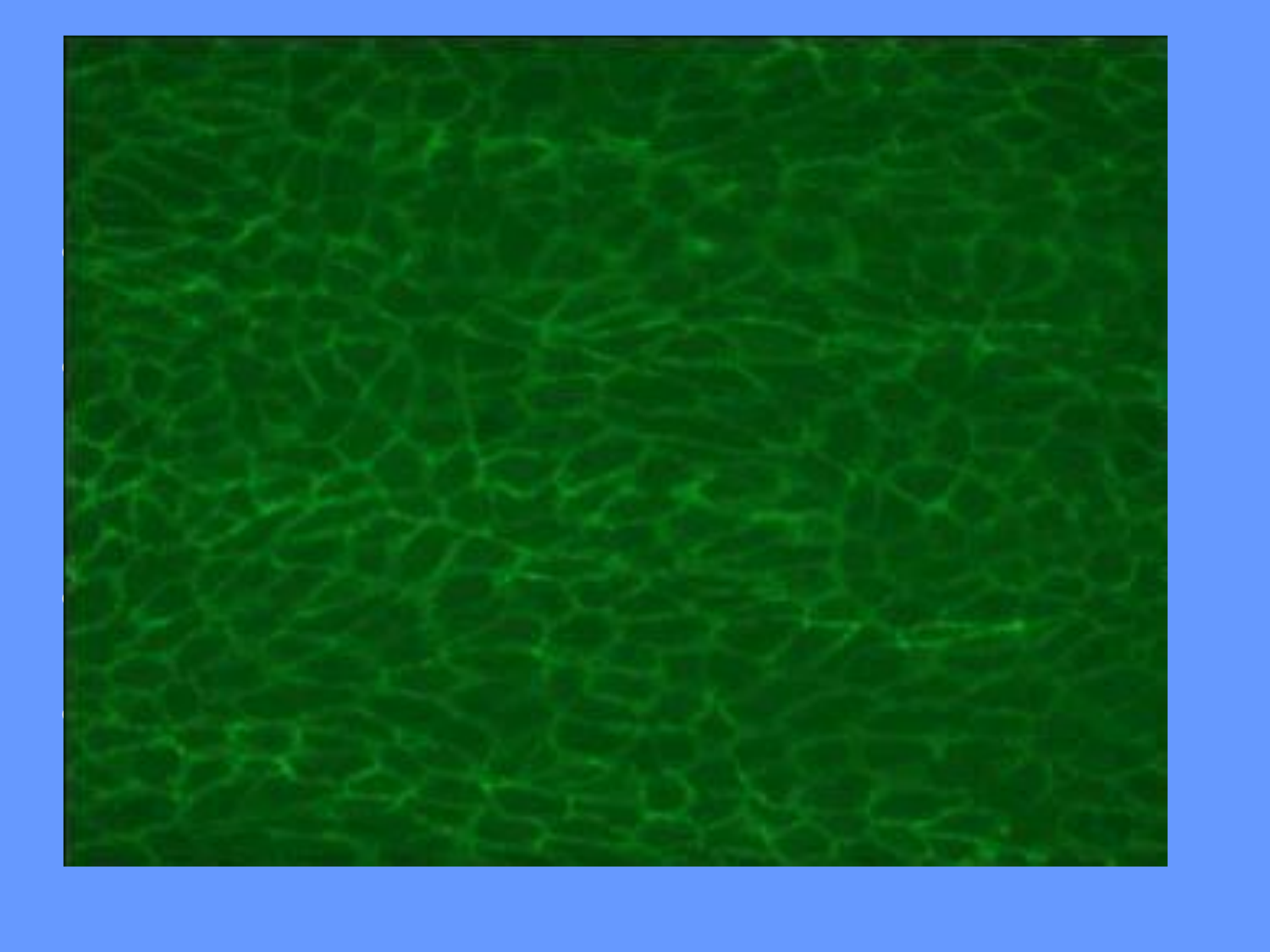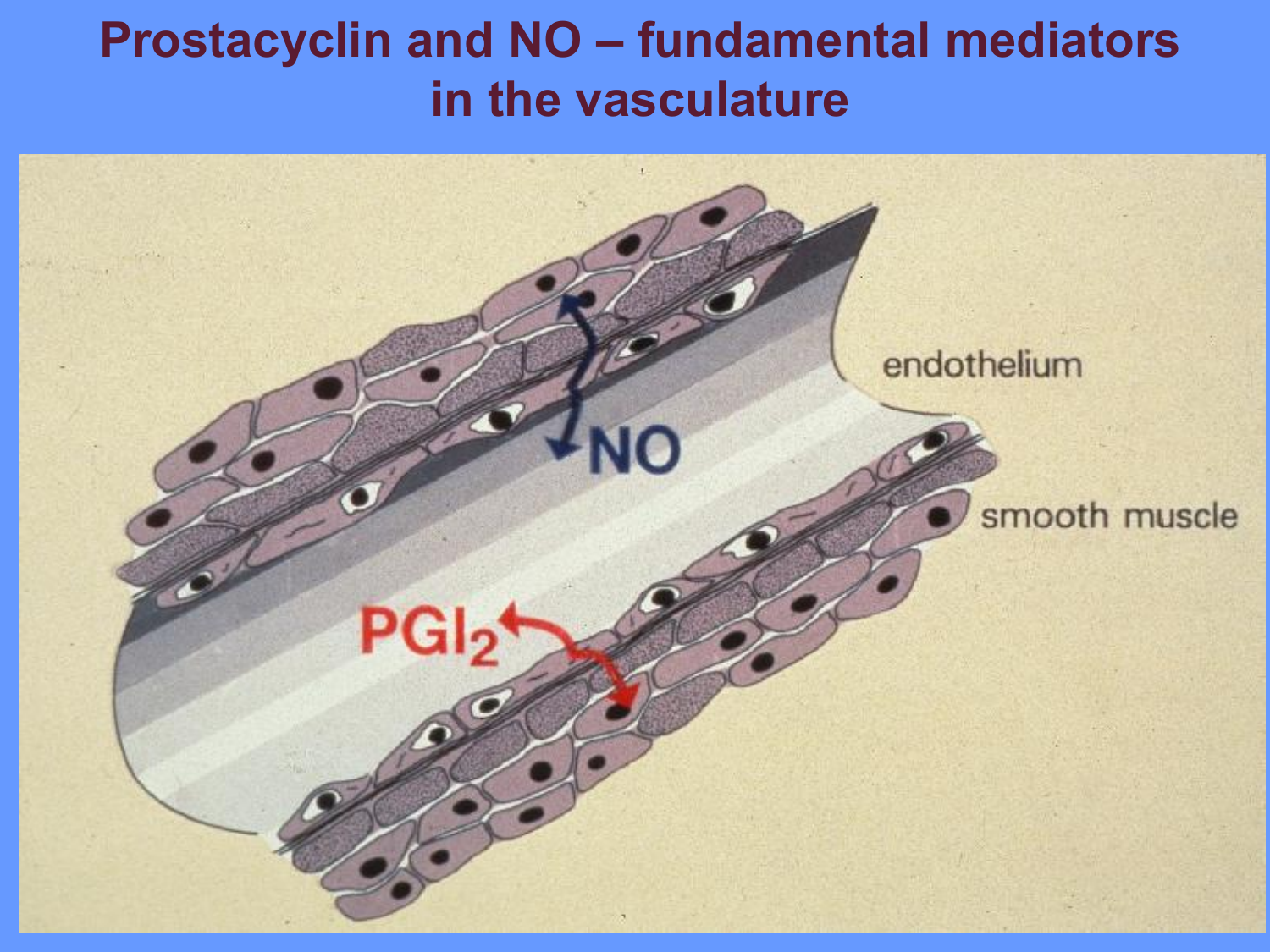### **Prostacyclin and NO – fundamental mediators in the vasculature**

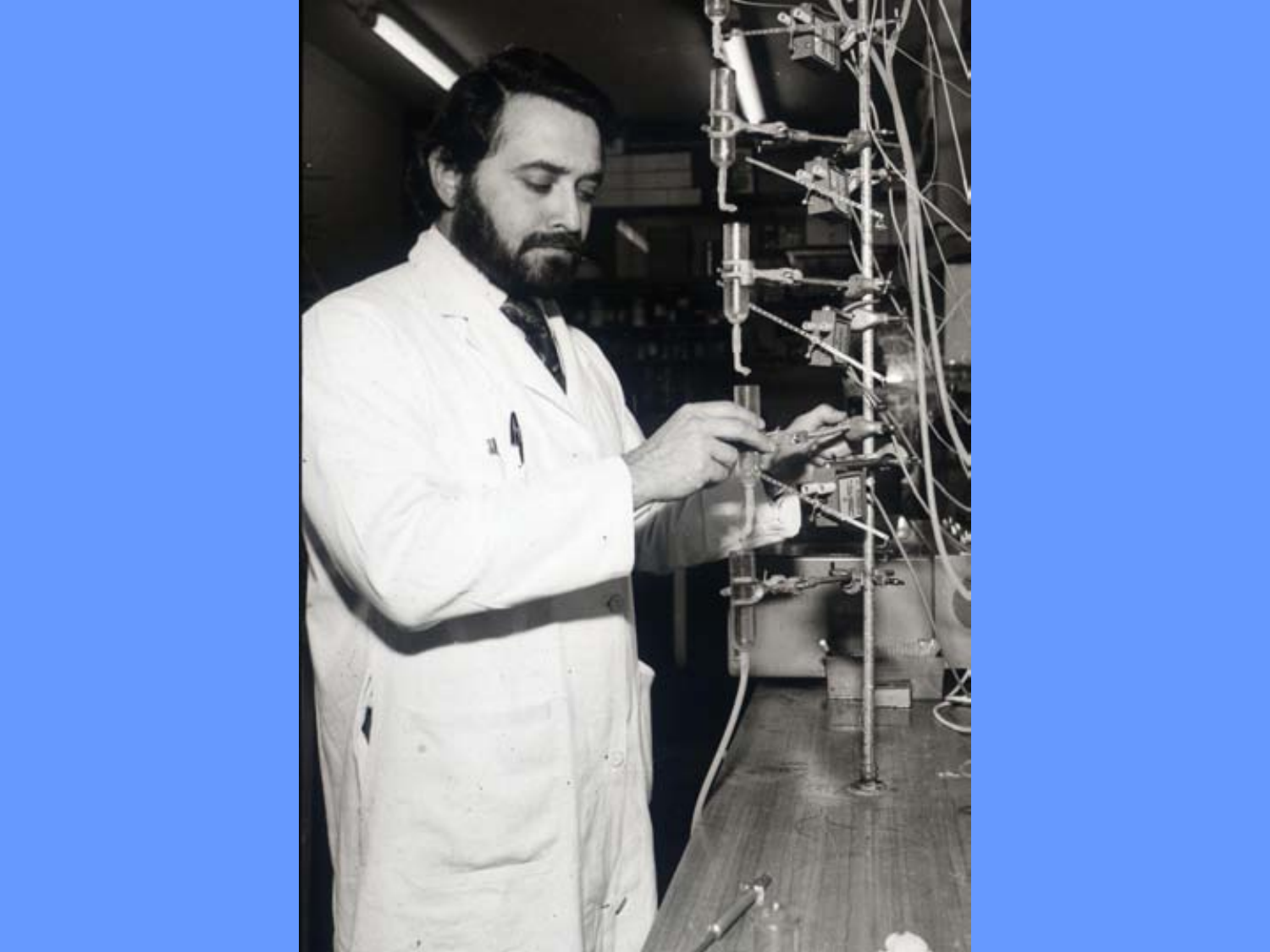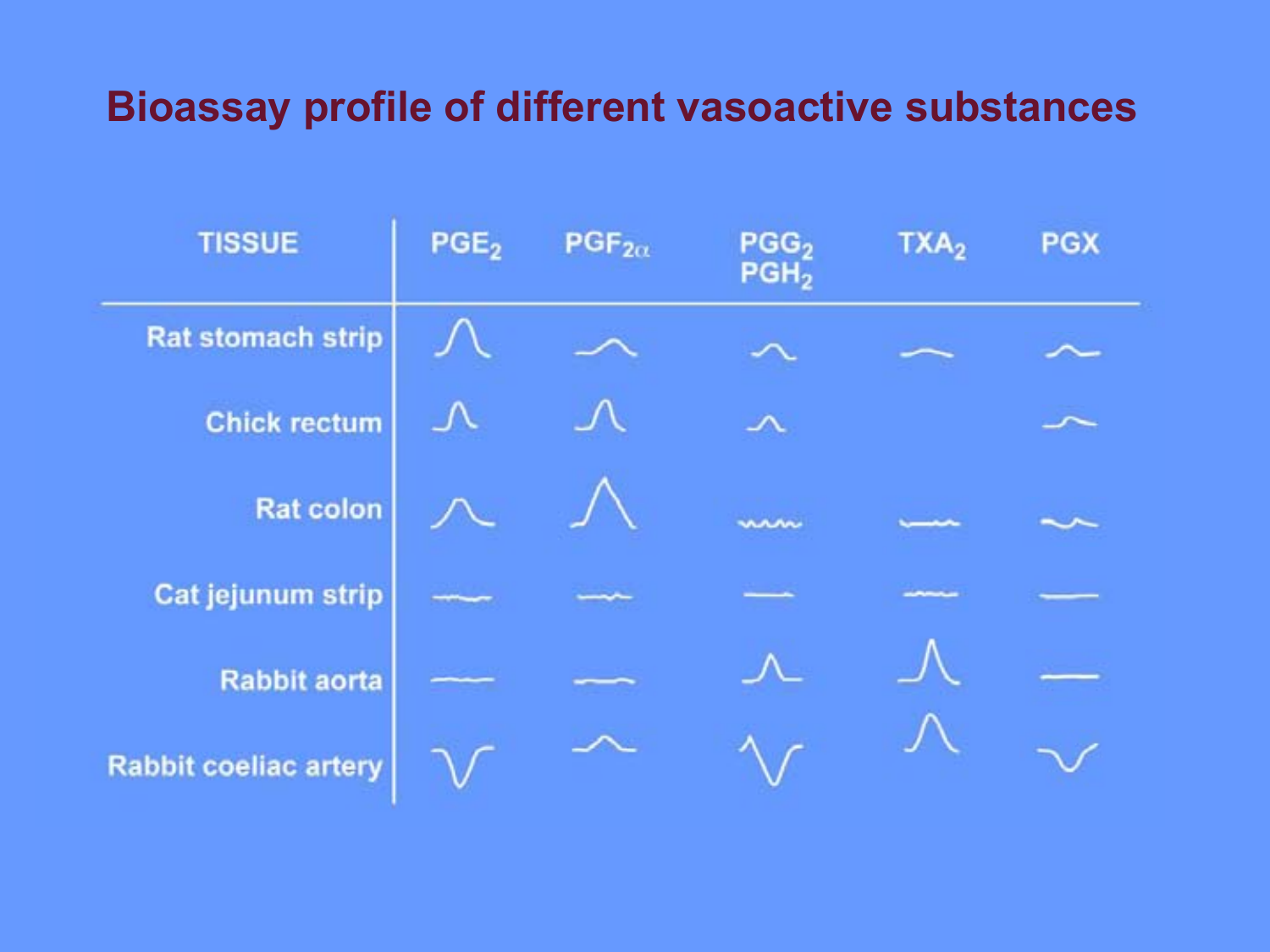### **Bioassay profile of different vasoactive substances**

| <b>TISSUE</b>                | PGE <sub>2</sub> | $PGF_{2\alpha}$ | PGG <sub>2</sub><br>PGH <sub>2</sub> | TXA <sub>2</sub> | <b>PGX</b> |
|------------------------------|------------------|-----------------|--------------------------------------|------------------|------------|
| Rat stomach strip            |                  |                 |                                      |                  |            |
| <b>Chick rectum</b>          | $\Lambda$        |                 | $\lambda$                            |                  |            |
| Rat colon                    |                  |                 | nan                                  |                  |            |
| Cat jejunum strip            |                  |                 |                                      |                  |            |
| <b>Rabbit aorta</b>          |                  |                 |                                      |                  |            |
| <b>Rabbit coeliac artery</b> |                  |                 |                                      |                  |            |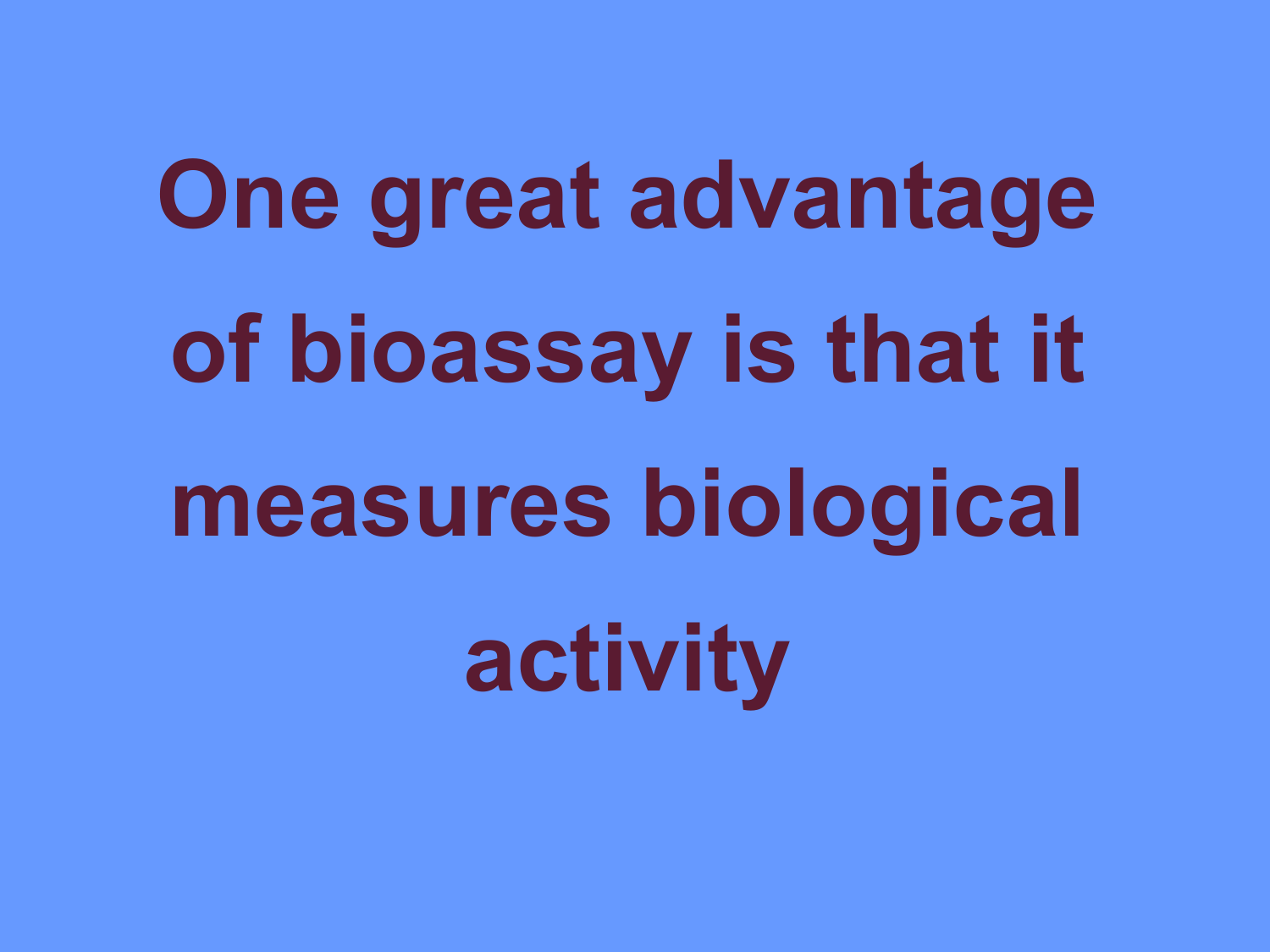# **One great advantage of bioassay is that it measures biological activity**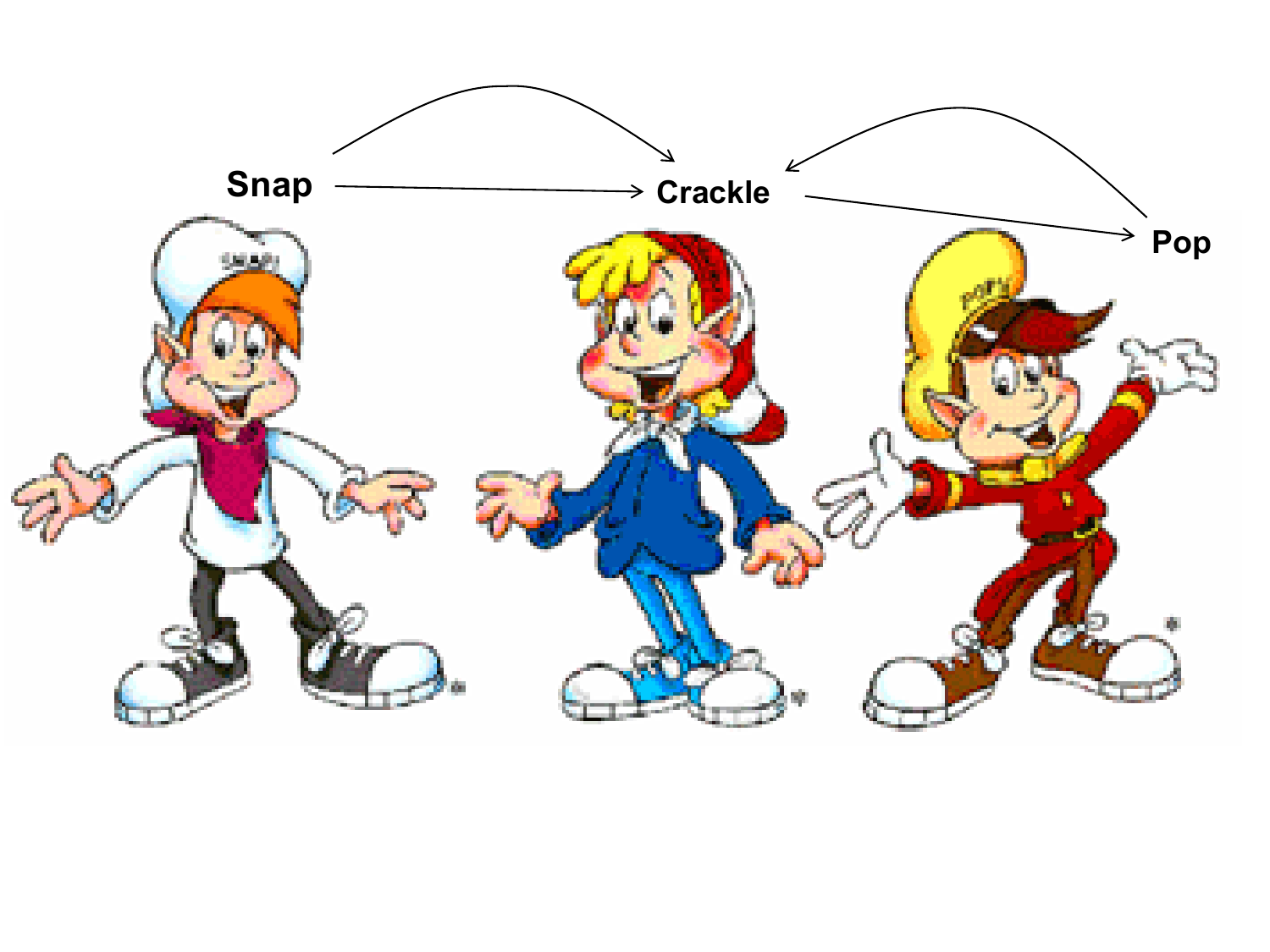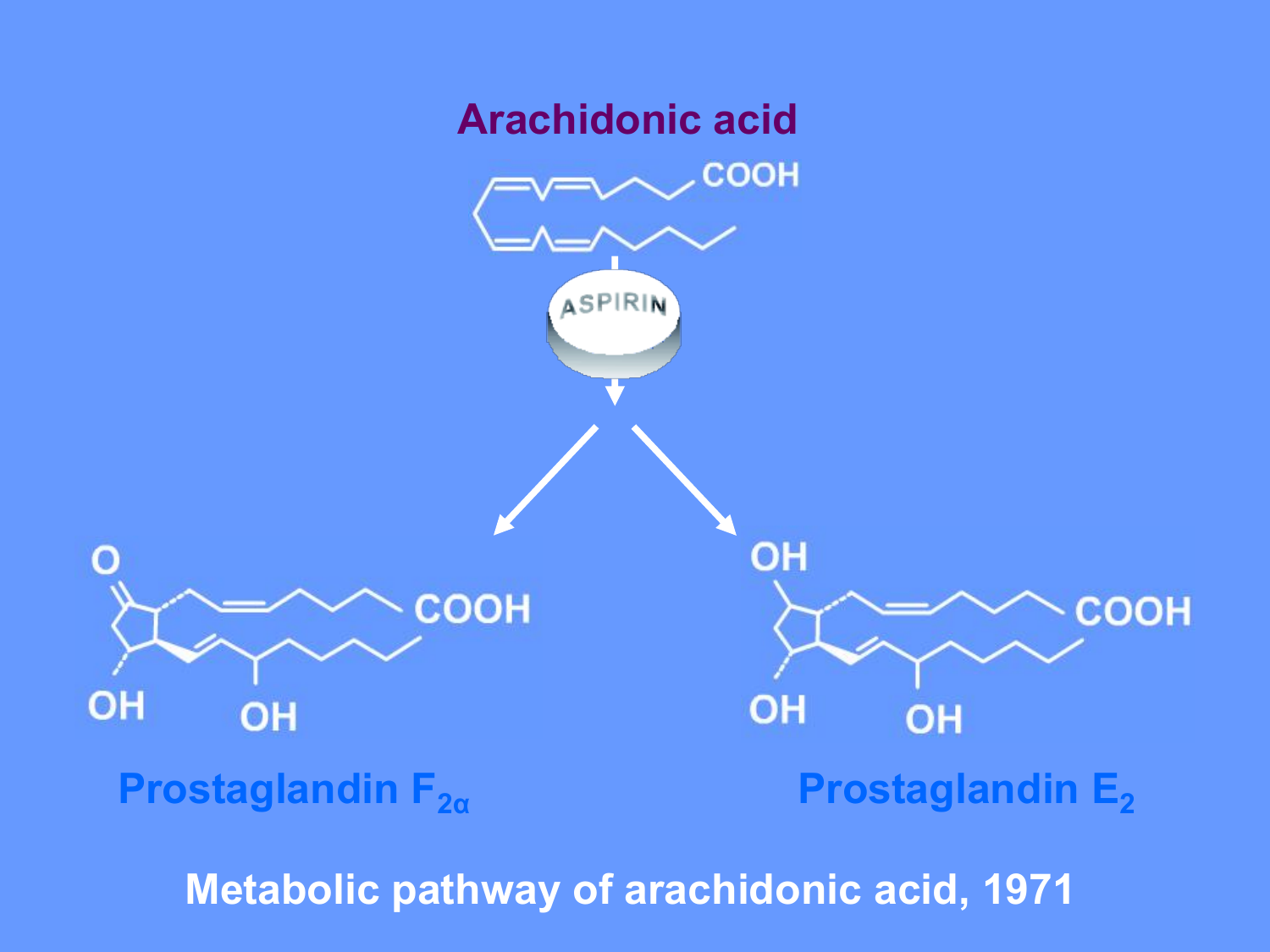

**Metabolic pathway of arachidonic acid, 1971**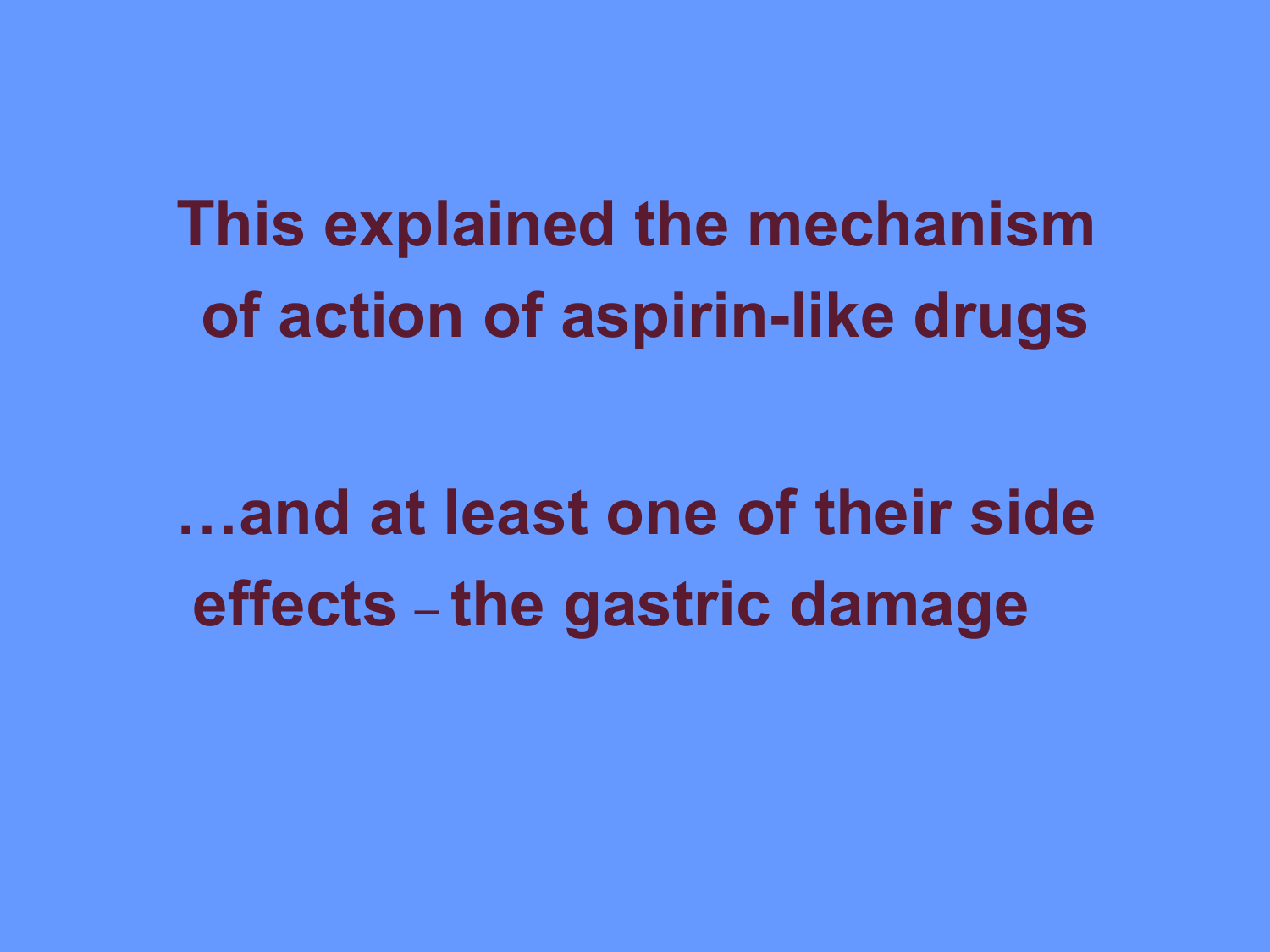**This explained the mechanism of action of aspirin-like drugs**

**…and at least one of their side effects \_ the gastric damage**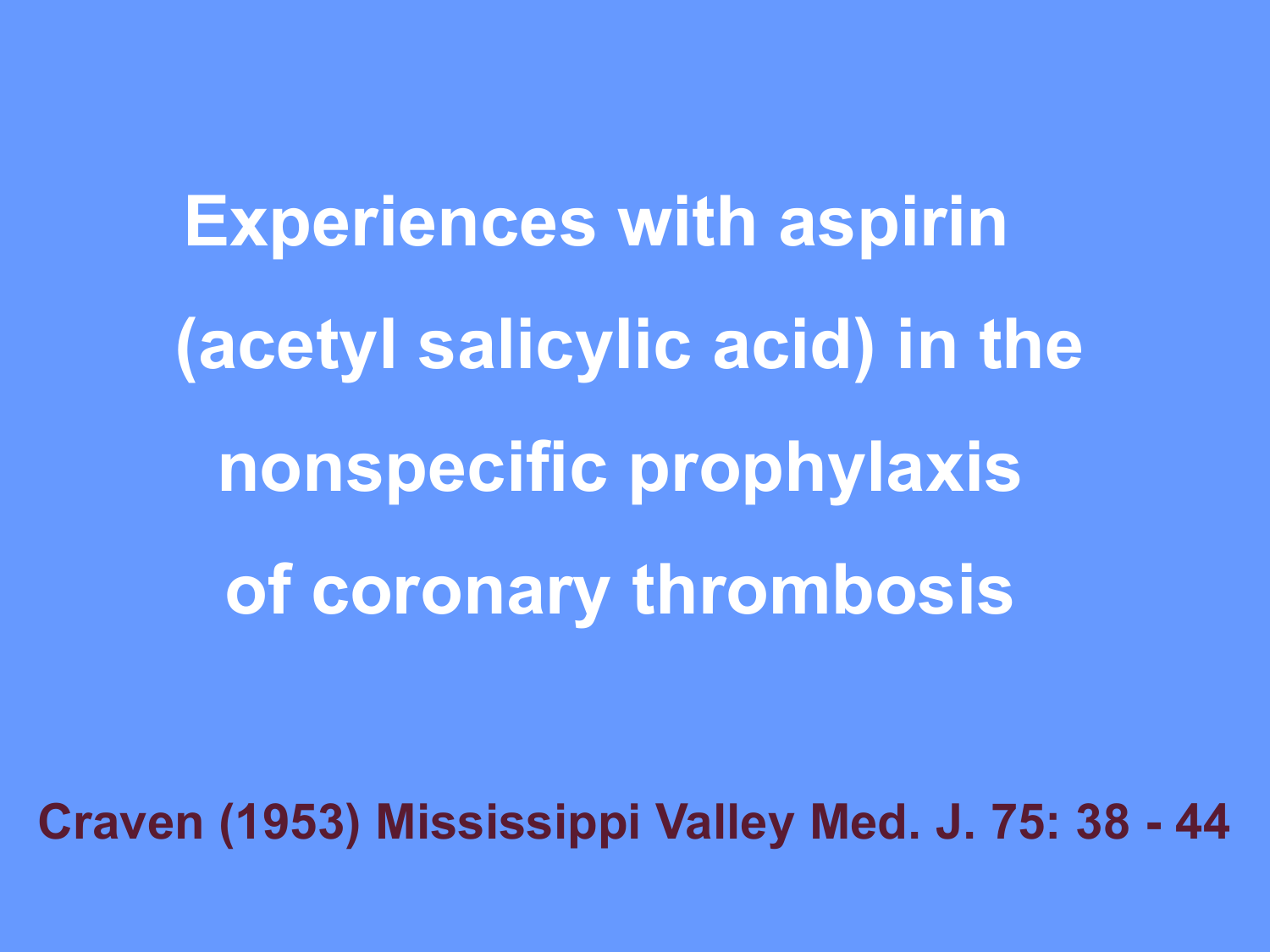**Experiences with aspirin (acetyl salicylic acid) in the nonspecific prophylaxis of coronary thrombosis**

**Craven (1953) Mississippi Valley Med. J. 75: 38 - 44**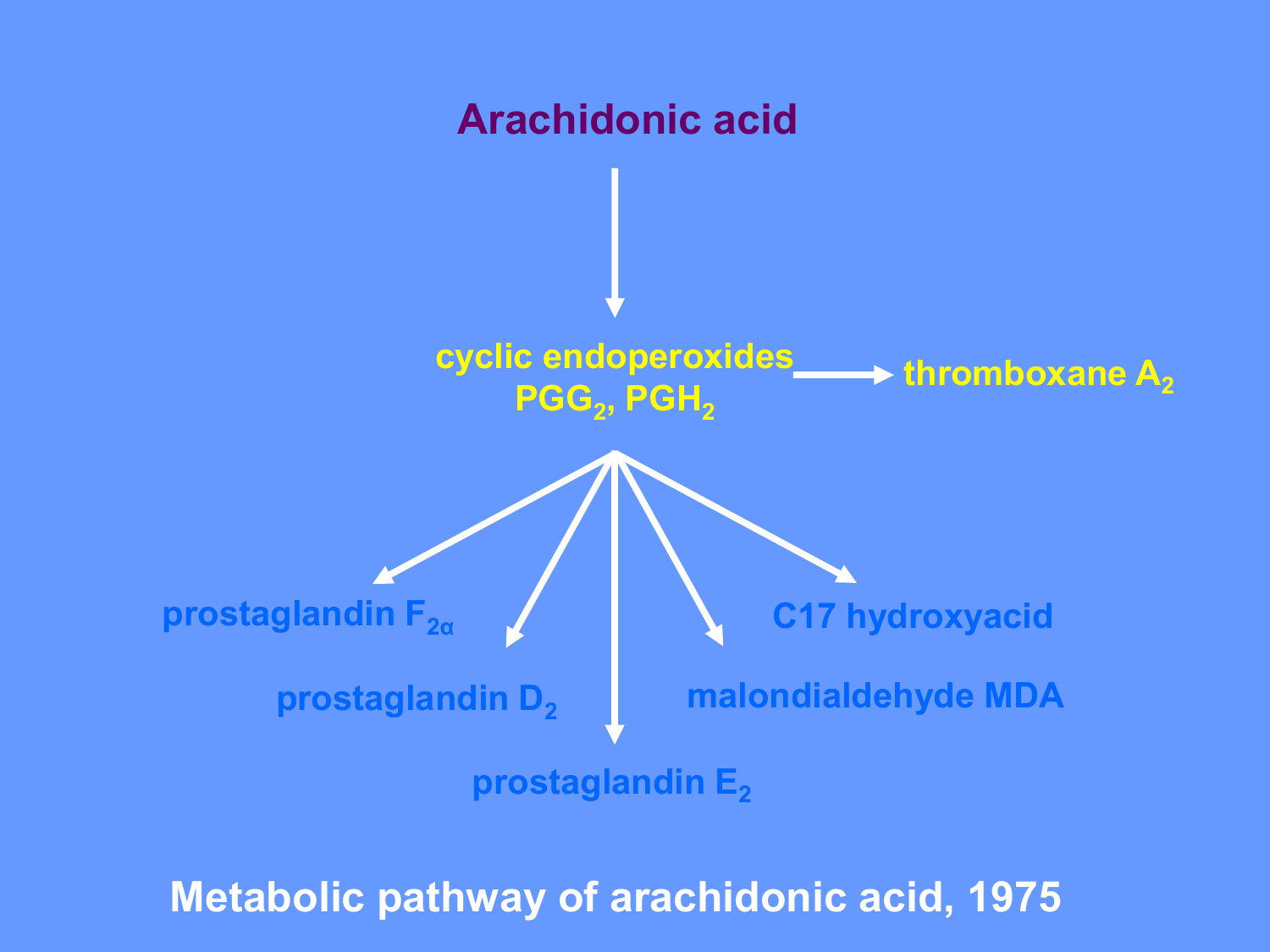

**Metabolic pathway of arachidonic acid, 1975**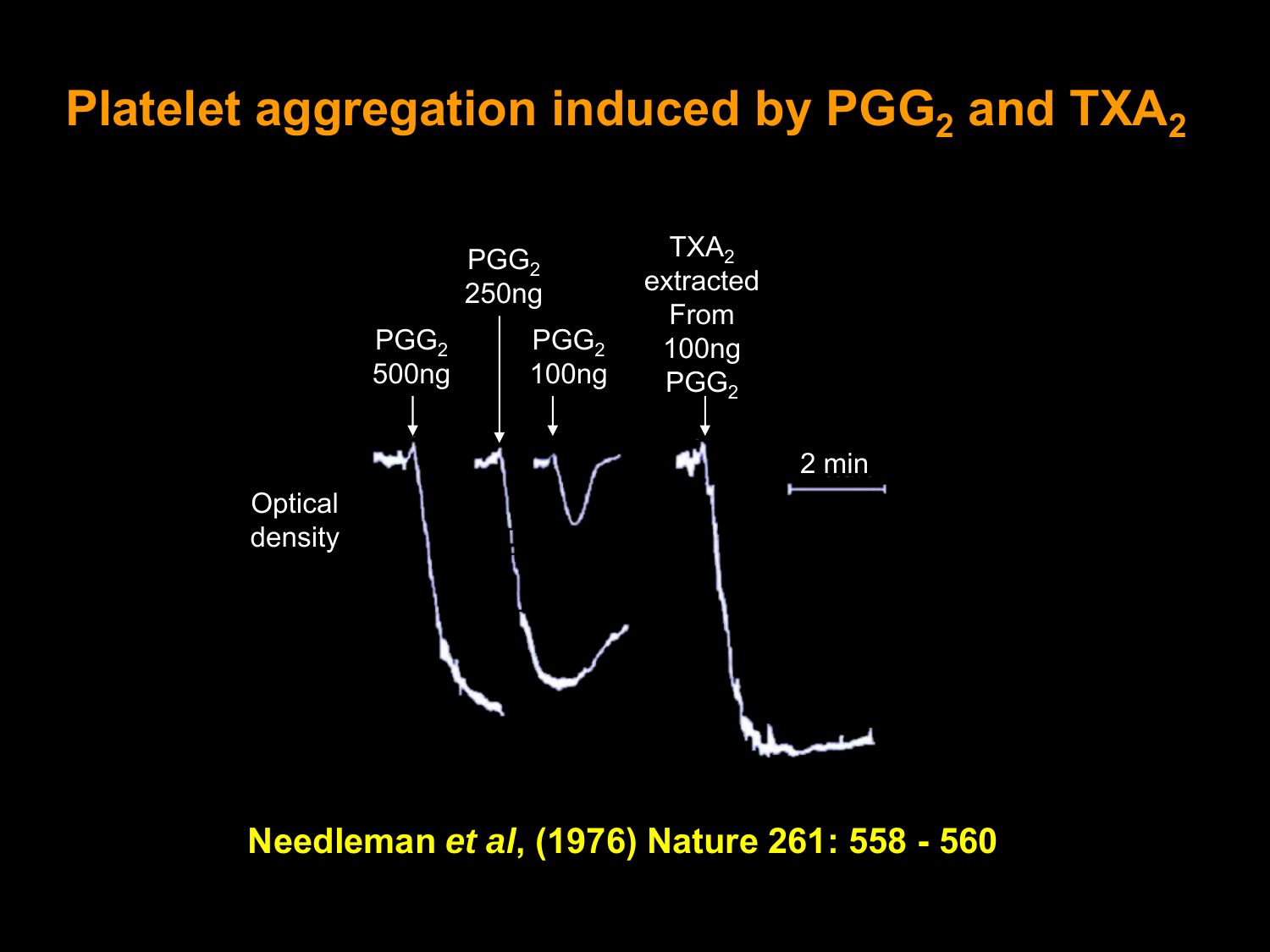## **Platelet aggregation induced by PGG<sub>2</sub> and TXA<sub>2</sub>**



**Needleman** *et al***, (1976) Nature 261: 558 - 560**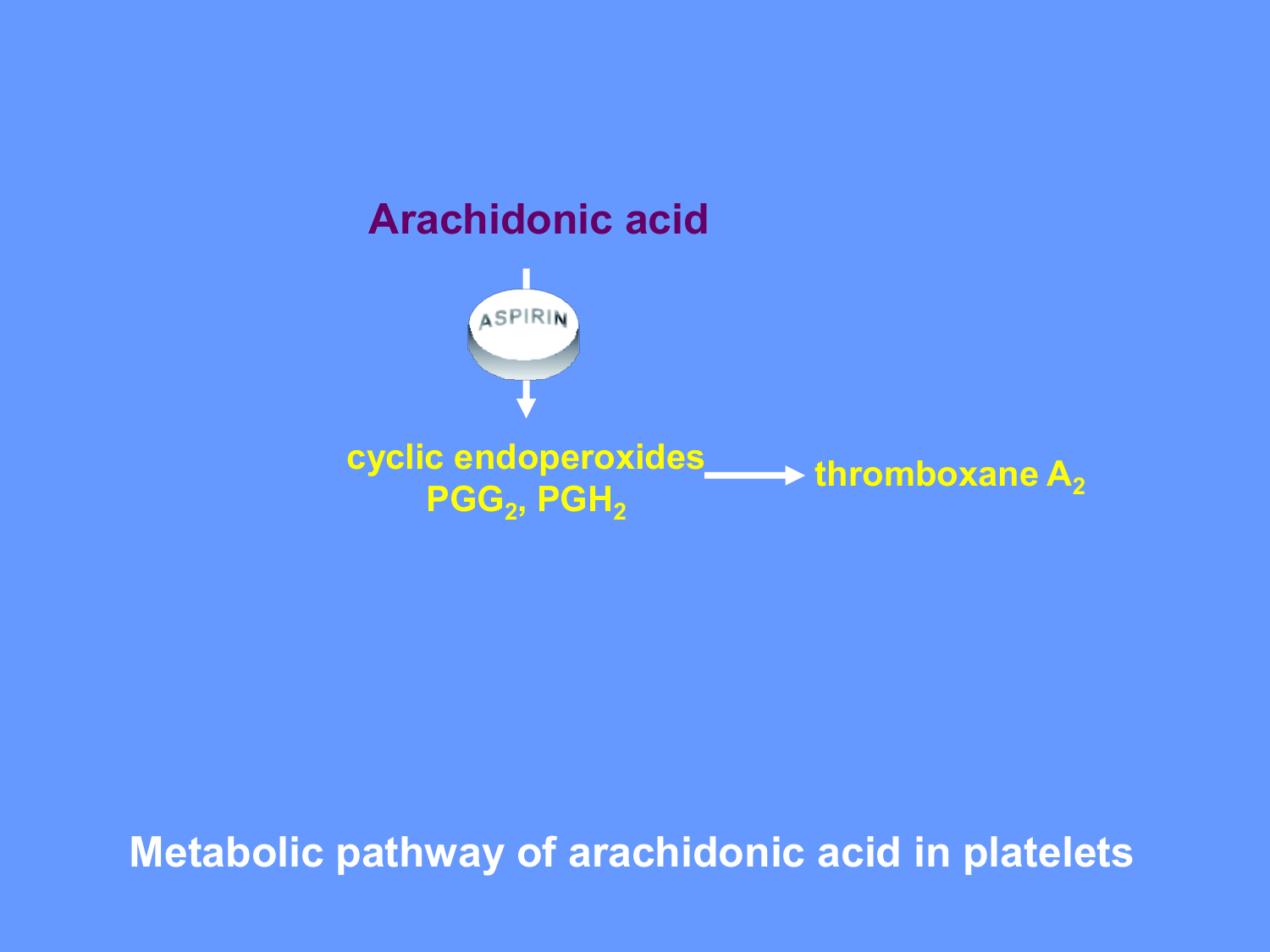

### **Metabolic pathway of arachidonic acid in platelets**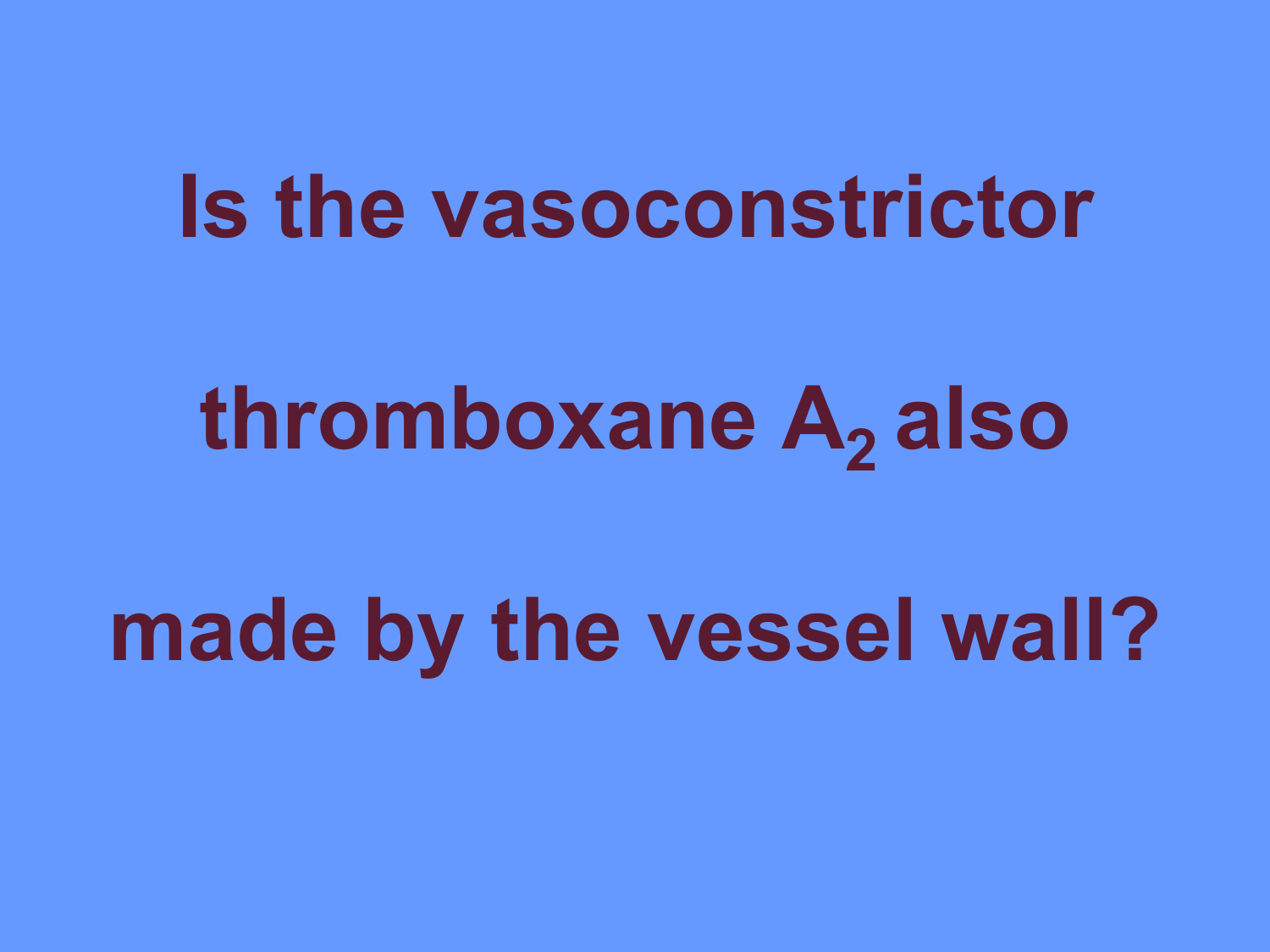## **Is the vasoconstrictor**

## **thromboxane A2 also**

## **made by the vessel wall?**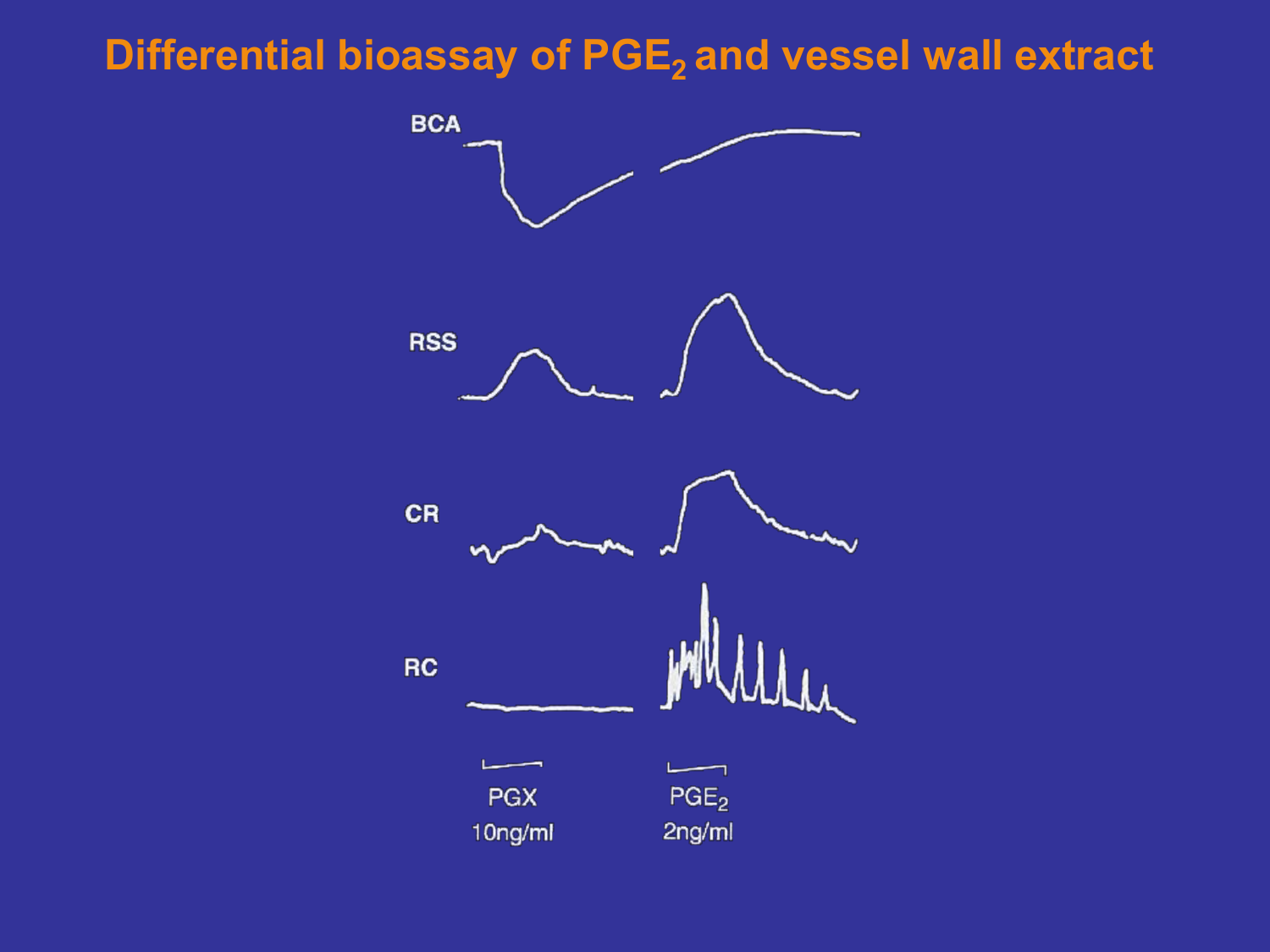### **Differential bioassay of PGE2 and vessel wall extract**

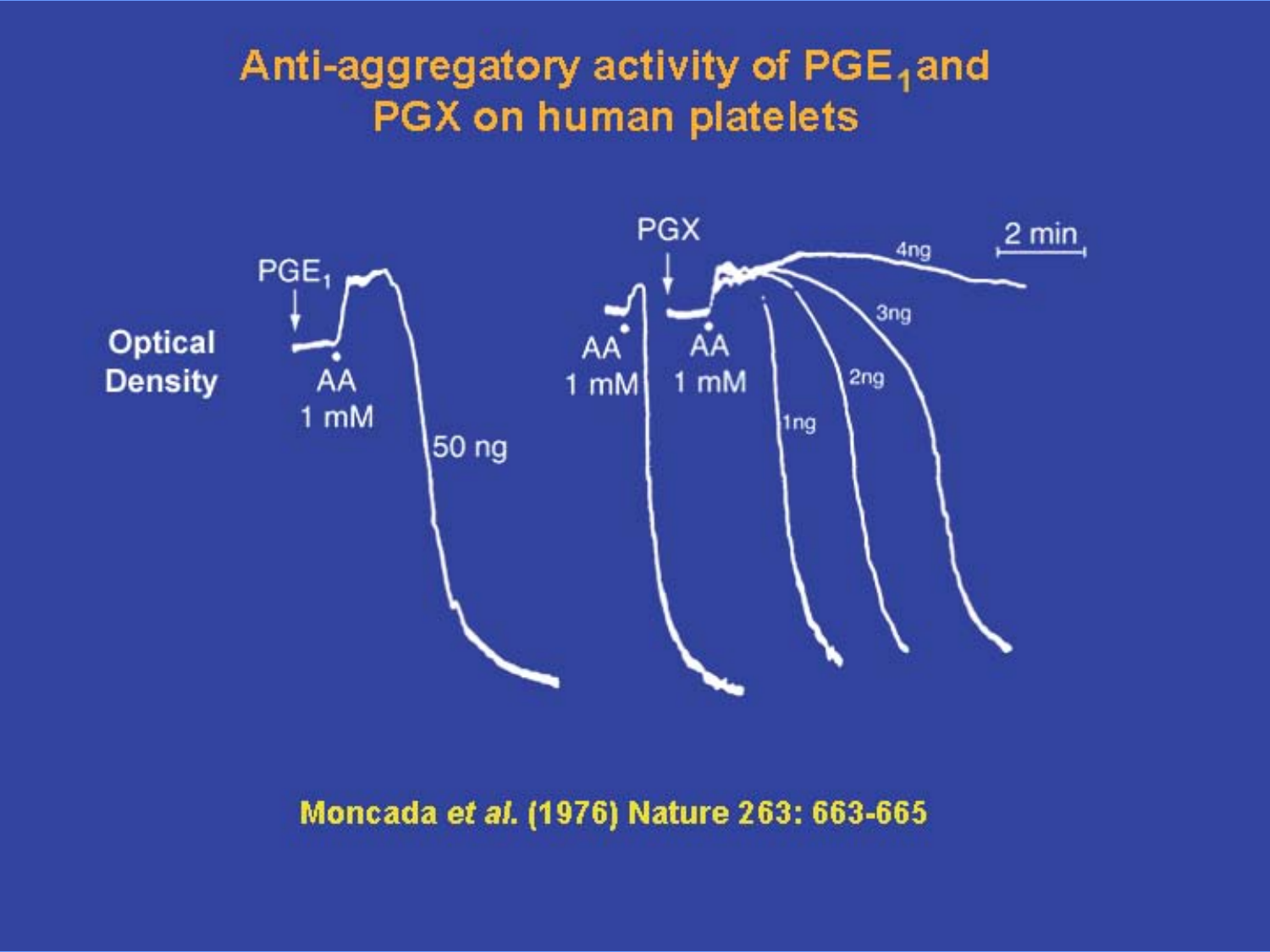### Anti-aggregatory activity of PGE<sub>1</sub>and **PGX on human platelets**



#### Moncada et al. (1976) Nature 263: 663-665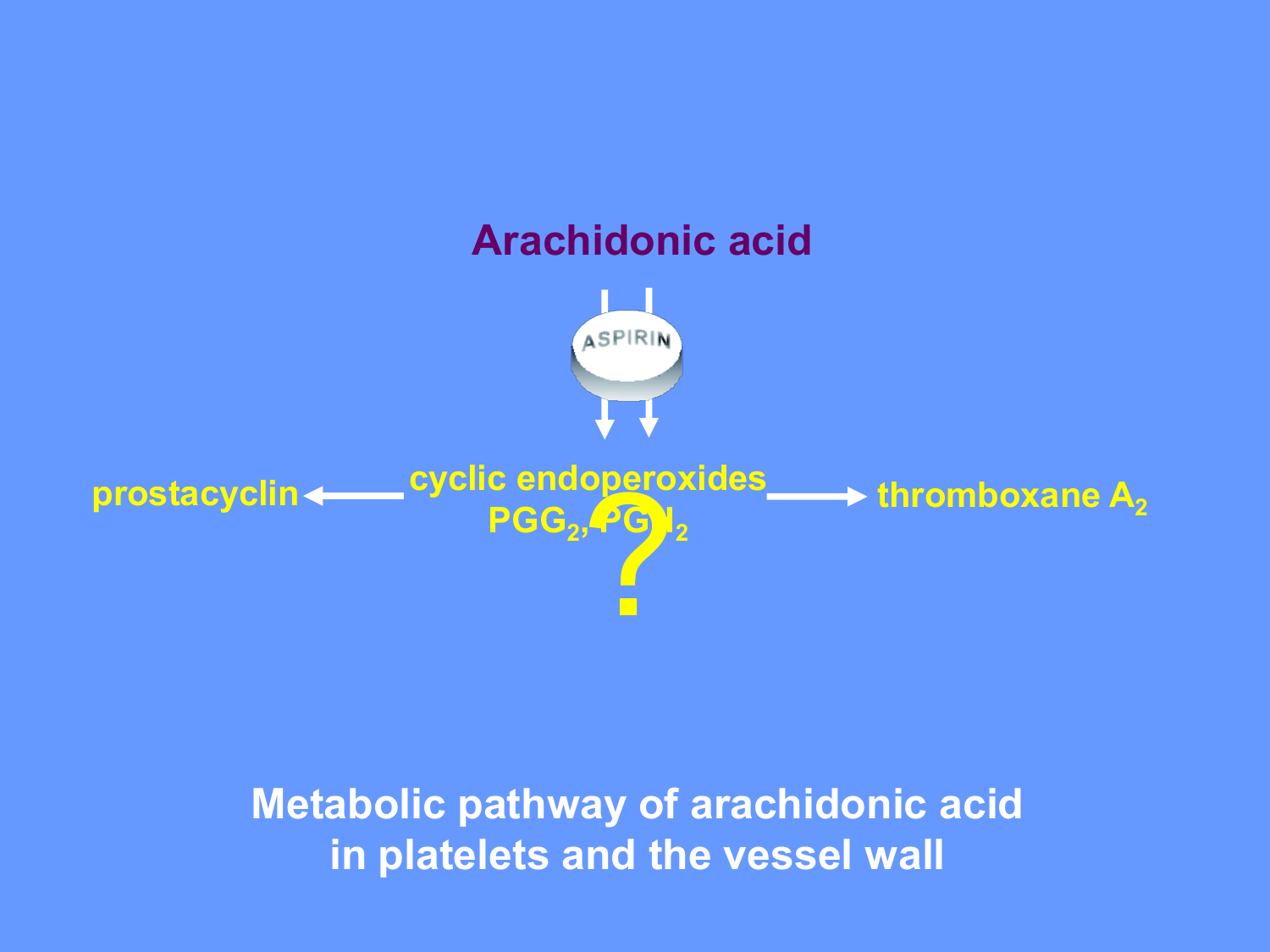

### **Metabolic pathway of arachidonic acid in platelets and the vessel wall**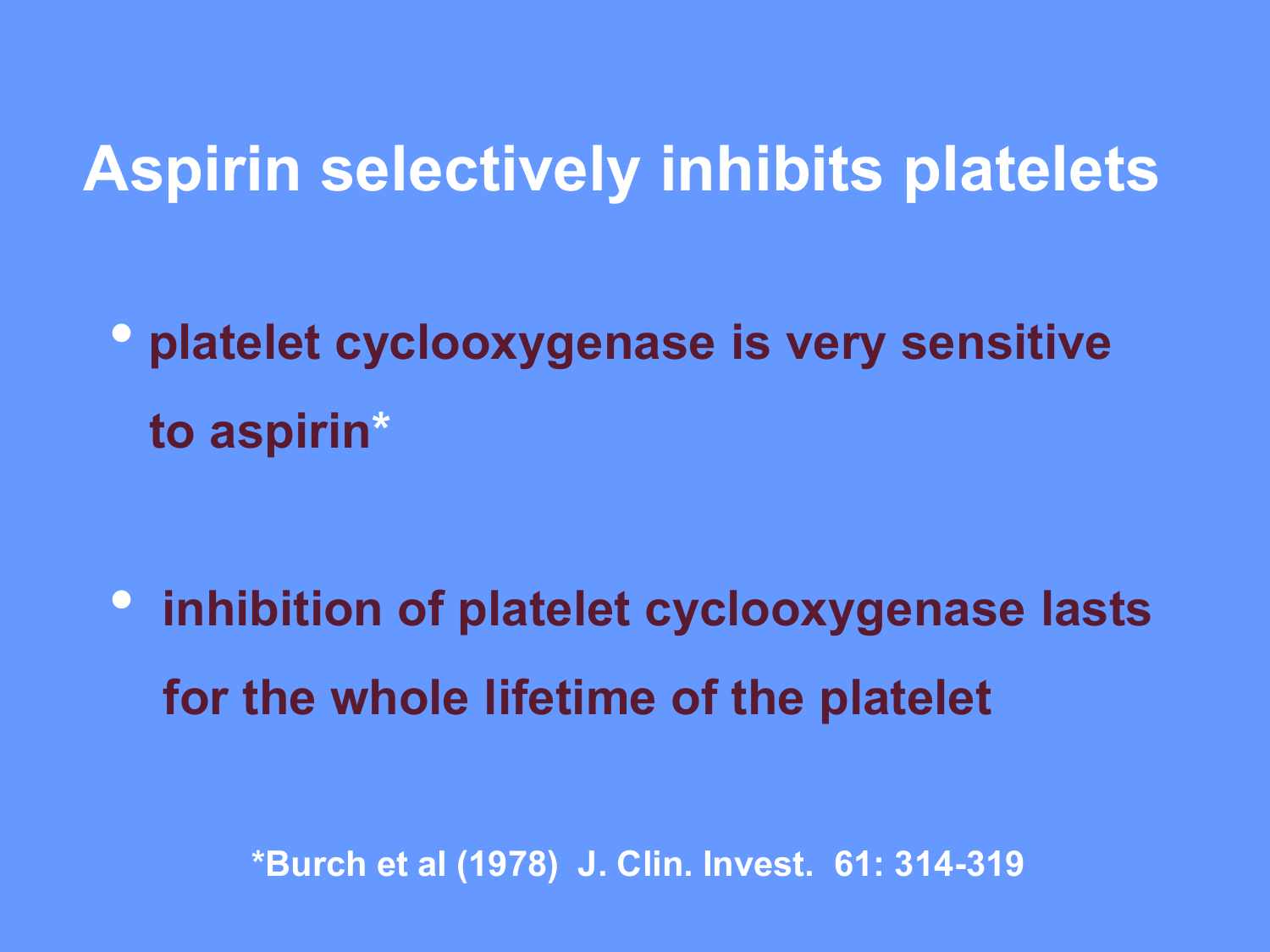## **Aspirin selectively inhibits platelets**

• **platelet cyclooxygenase is very sensitive to aspirin\***

• **inhibition of platelet cyclooxygenase lasts for the whole lifetime of the platelet**

**\*Burch et al (1978) J. Clin. Invest. 61: 314-319**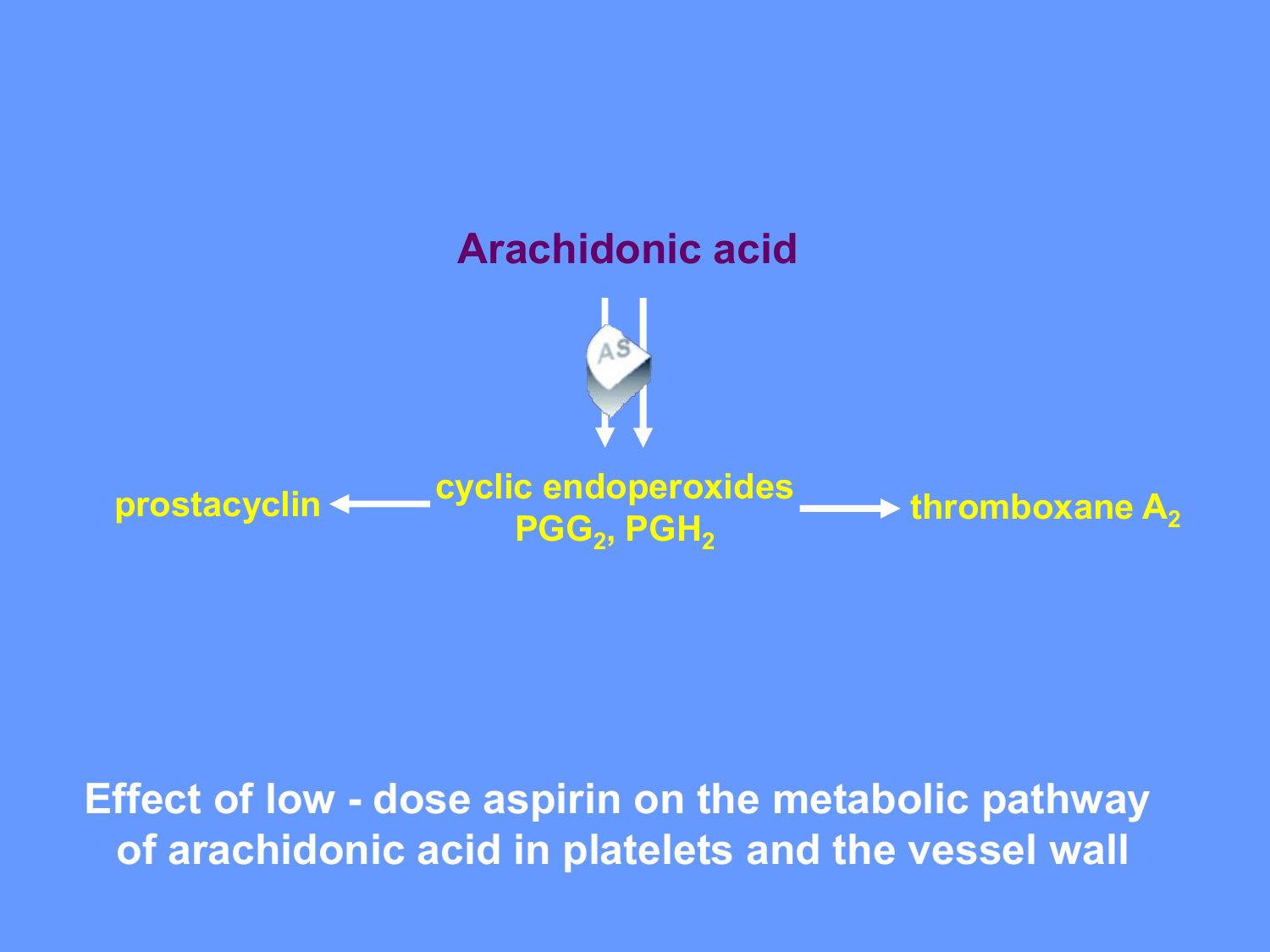## **Arachidonic acid <b>≠** thromboxane A<sub>2</sub> **cyclic endoperoxides PGG<sup>2</sup> , PGH<sup>2</sup> prostacyclin**

### **Effect of low - dose aspirin on the metabolic pathway of arachidonic acid in platelets and the vessel wall**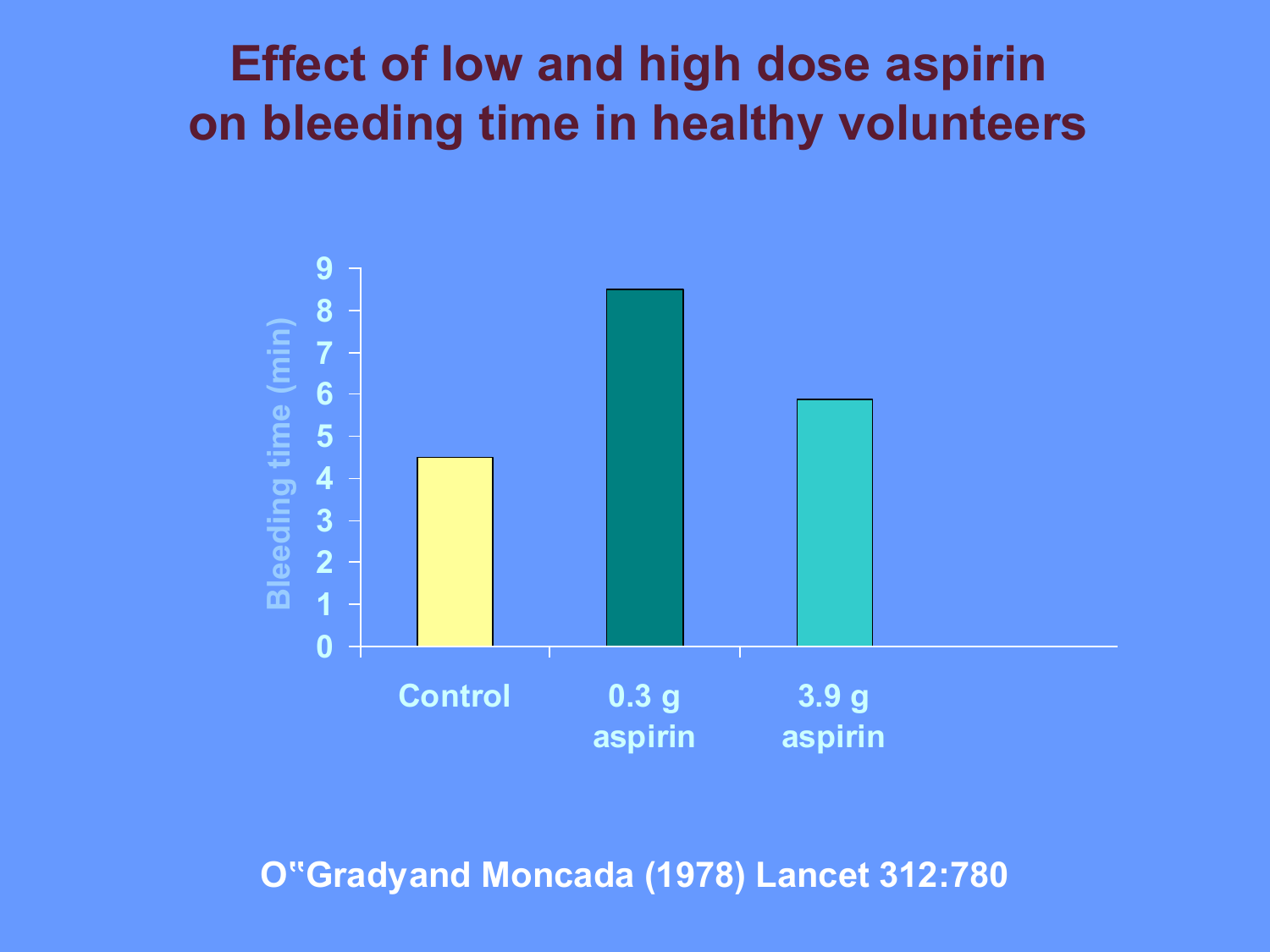## **Effect of low and high dose aspirin on bleeding time in healthy volunteers**



**O"Grady and Moncada (1978) Lancet 312:780**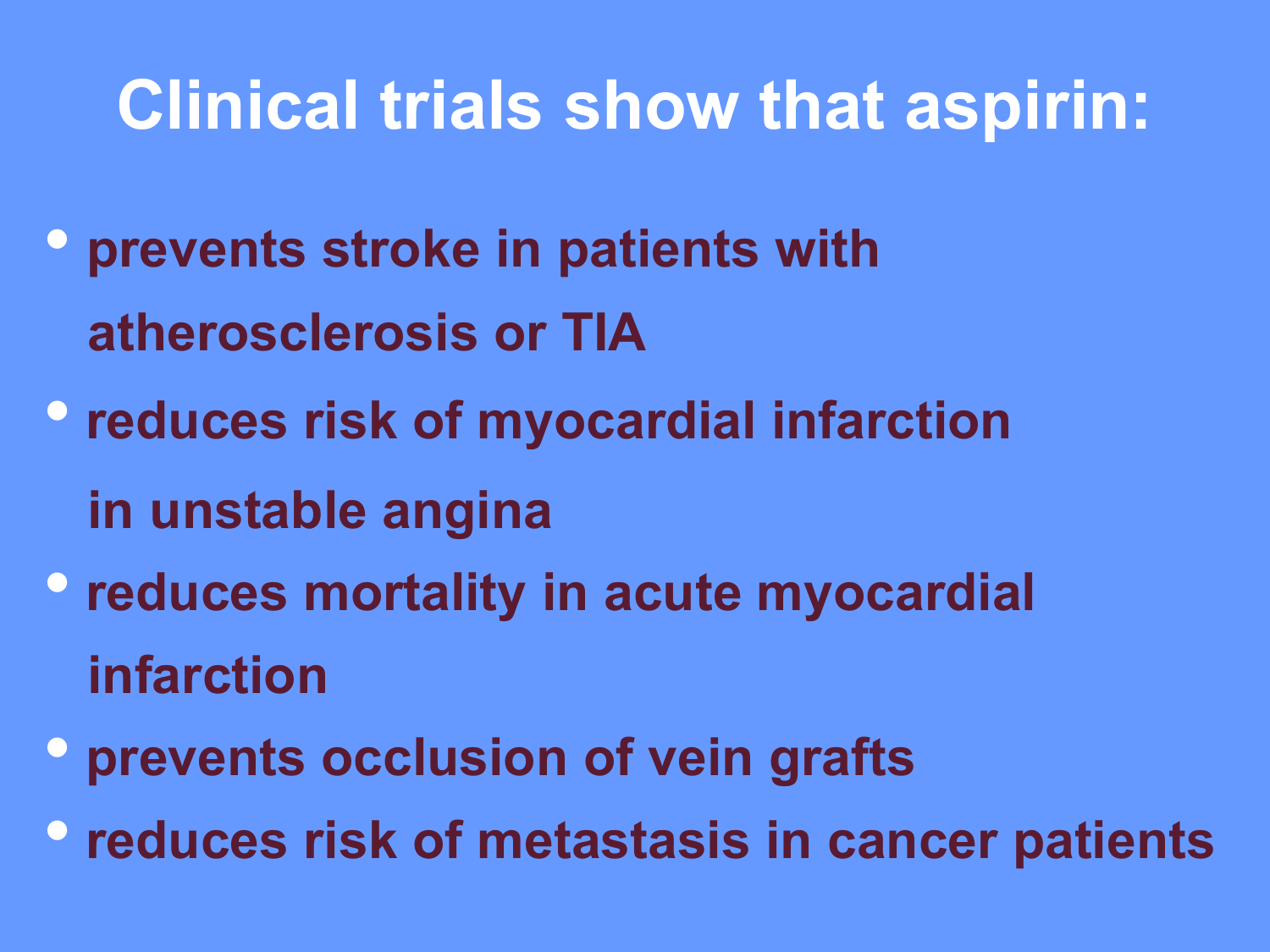## **Clinical trials show that aspirin:**

- **prevents stroke in patients with atherosclerosis or TIA**
- **reduces risk of myocardial infarction**
	- **in unstable angina**
- **reduces mortality in acute myocardial infarction**
- **prevents occlusion of vein grafts**
- **reduces risk of metastasis in cancer patients**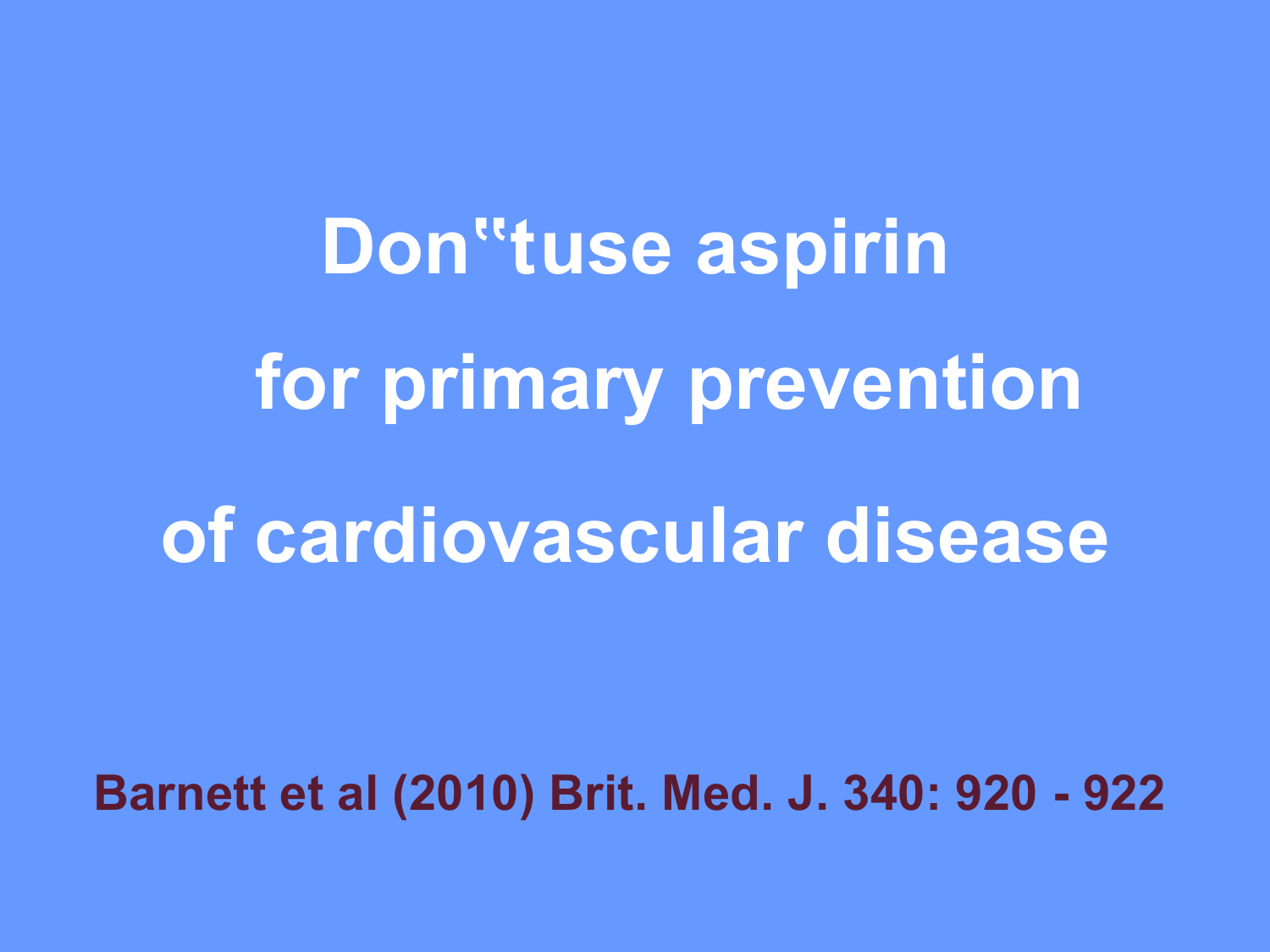**Don"t use aspirin for primary prevention of cardiovascular disease**

**Barnett et al (2010) Brit. Med. J. 340: 920 - 922**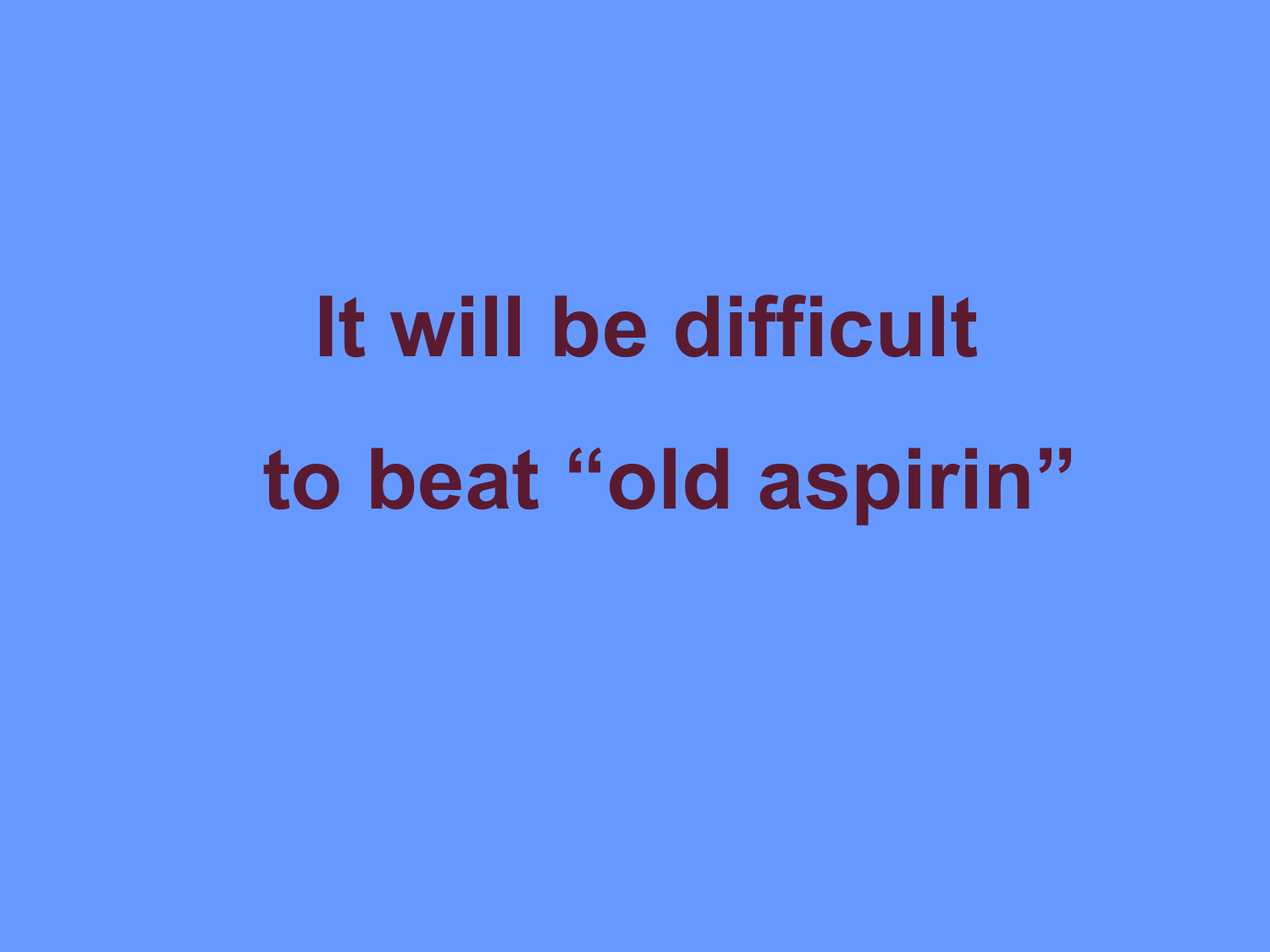# **It will be difficult to beat "old aspirin"**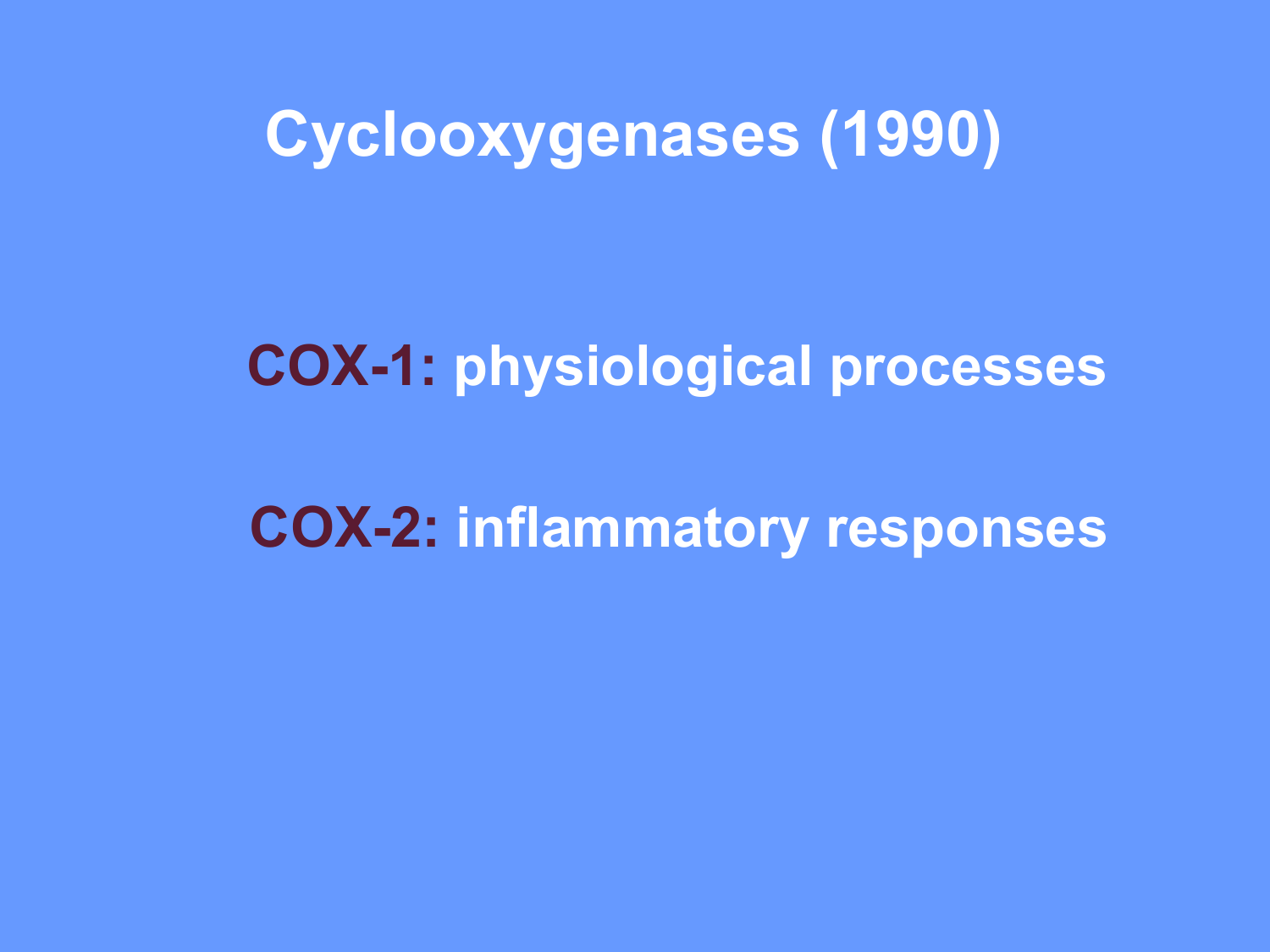## **Cyclooxygenases (1990)**

## **COX-1: physiological processes**

## **COX-2: inflammatory responses**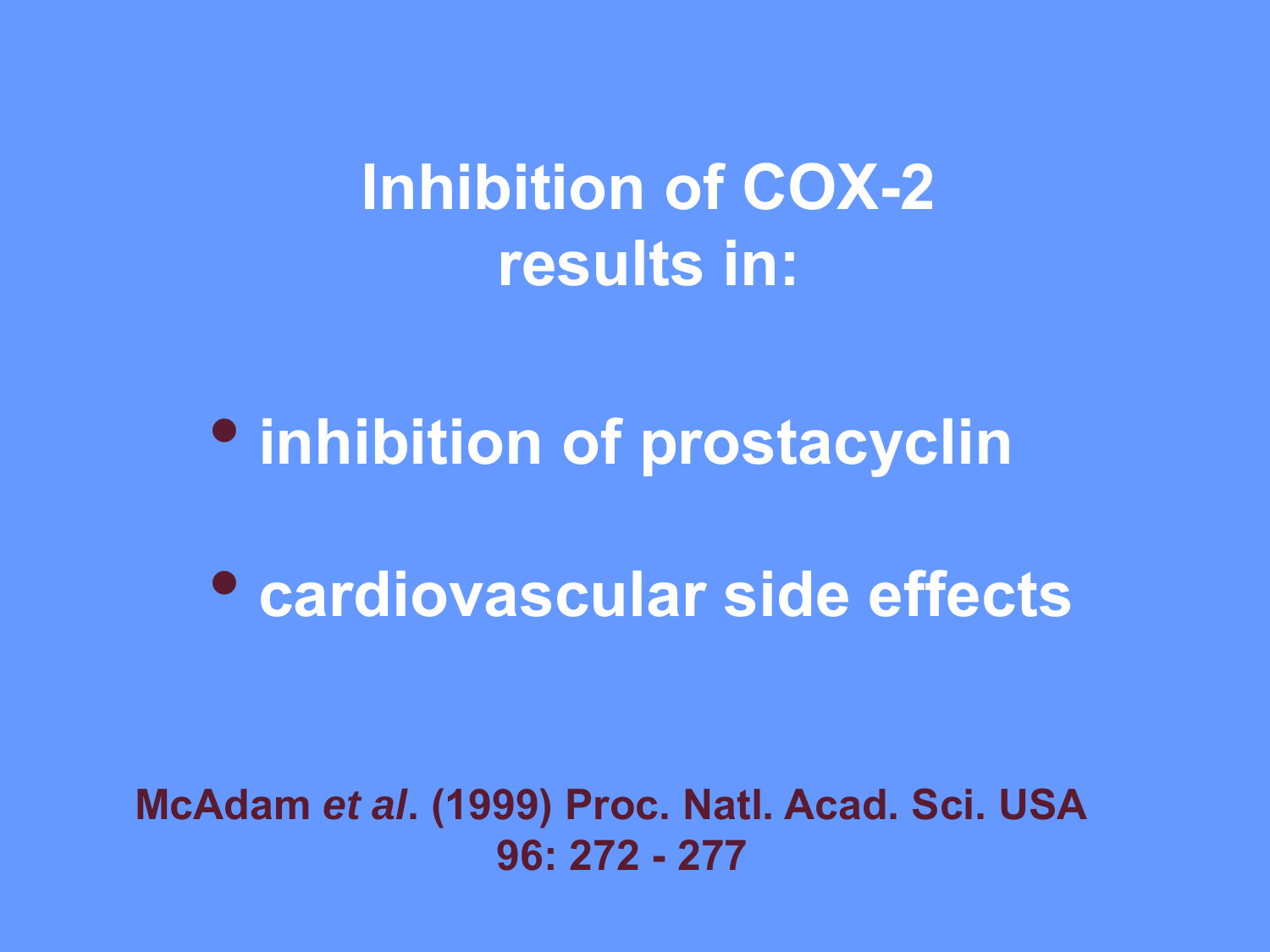## **Inhibition of COX-2 results in:**

• **inhibition of prostacyclin**

• **cardiovascular side effects**

**McAdam** *et al***. (1999) Proc. Natl. Acad. Sci. USA 96: 272 - 277**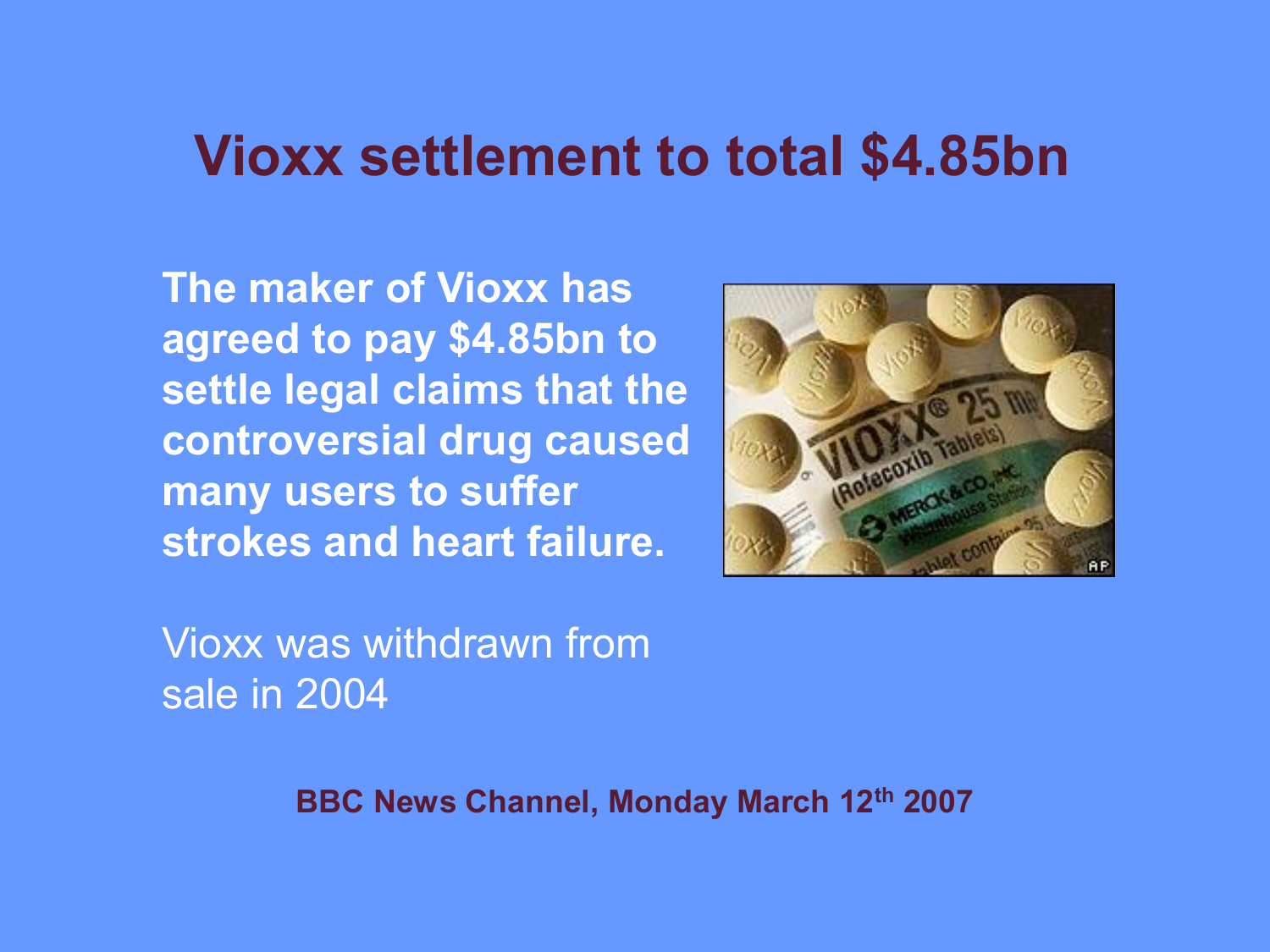## **Vioxx settlement to total \$4.85bn**

**The maker of Vioxx has agreed to pay \$4.85bn to settle legal claims that the controversial drug caused many users to suffer strokes and heart failure.**



Vioxx was withdrawn from sale in 2004

**BBC News Channel, Monday March 12th 2007**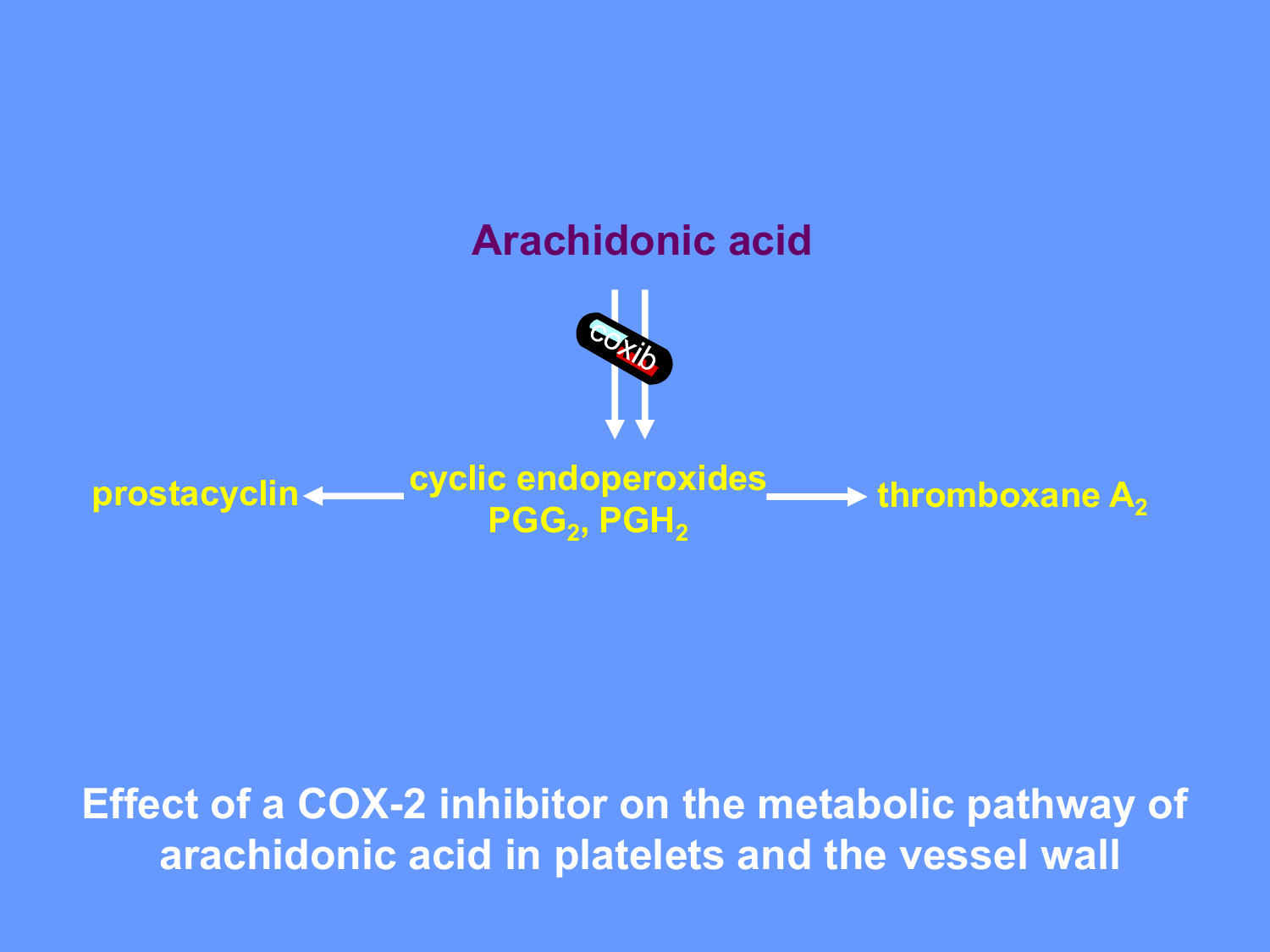## **Arachidonic acid cyclic endoperoxides PGG<sup>2</sup> , PGH<sup>2</sup> prostacyclin** ←  $\rightarrow$  <sup>Uyunu crubberbarues</sup> ← thromboxane A<sub>2</sub>

### **Effect of a COX-2 inhibitor on the metabolic pathway of arachidonic acid in platelets and the vessel wall**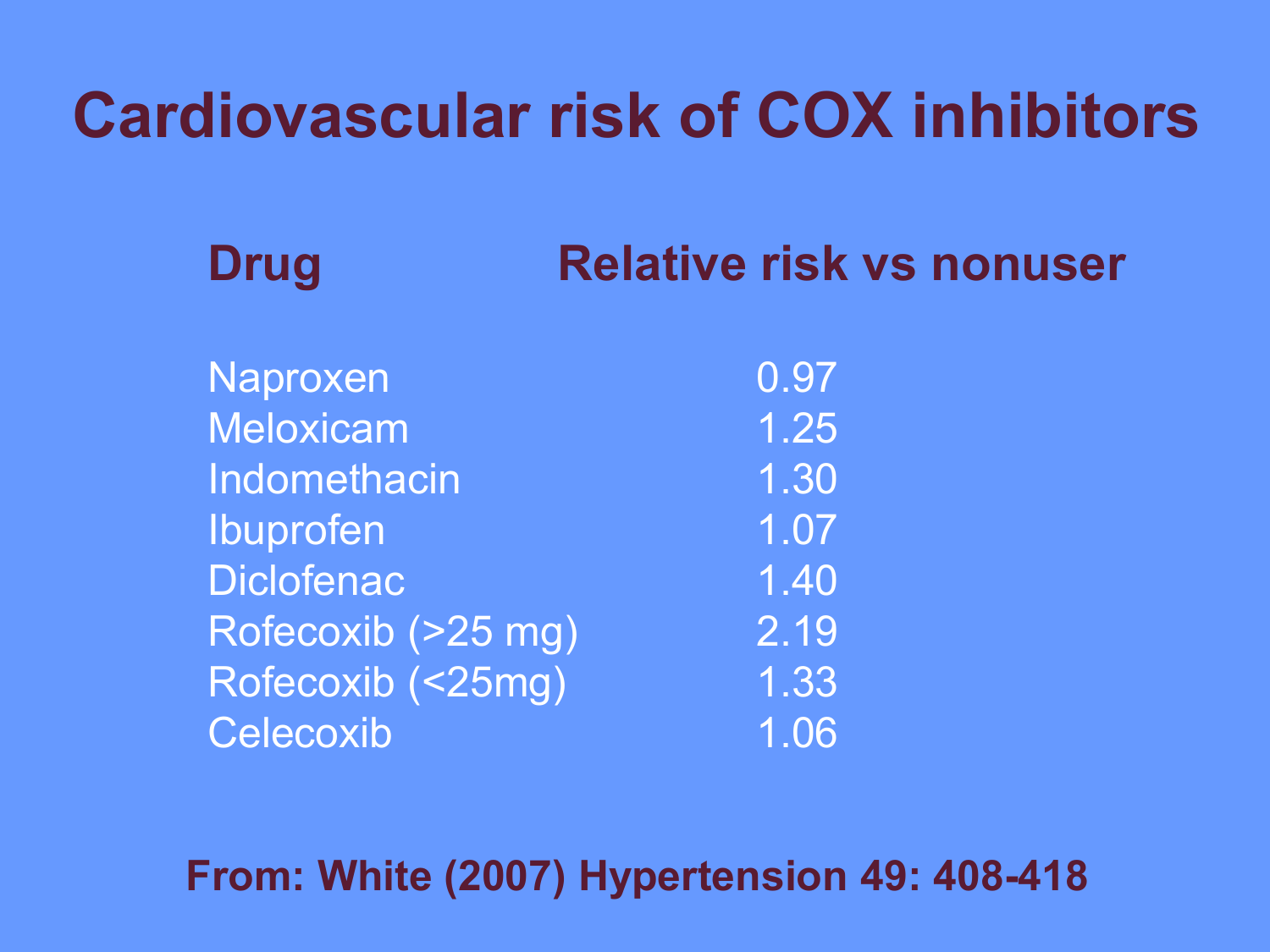## **Cardiovascular risk of COX inhibitors**

#### **Drug Relative risk vs nonuser**

| Naproxen           | 0.97 |
|--------------------|------|
| Meloxicam          | 1.25 |
| Indomethacin       | 1.30 |
| Ibuprofen          | 1.07 |
| Diclofenac         | 1.40 |
| Rofecoxib (>25 mg) | 2.19 |
| Rofecoxib (<25mg)  | 1.33 |
| Celecoxib          | 1.06 |

### **From: White (2007) Hypertension 49: 408-418**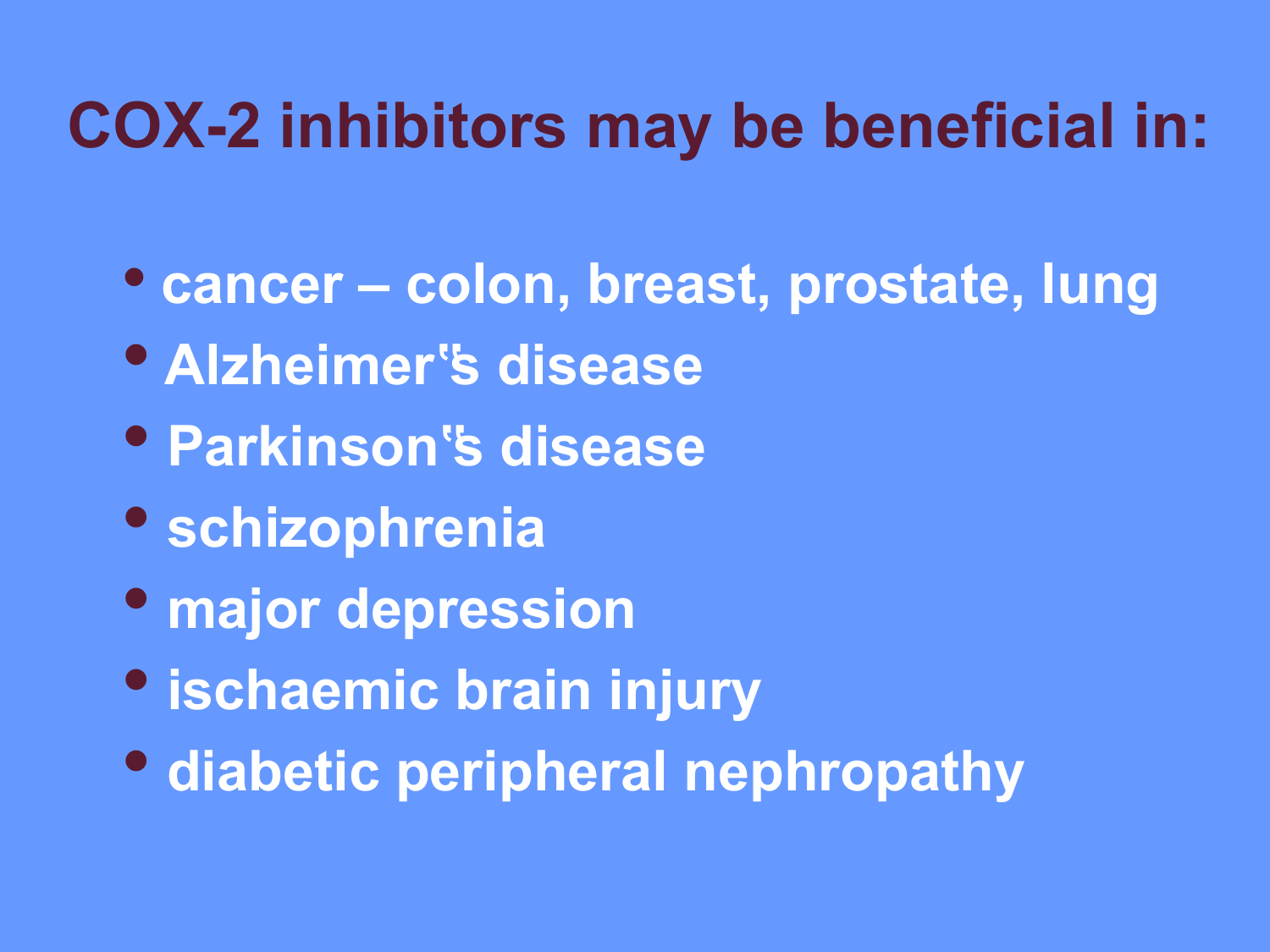## **COX-2 inhibitors may be beneficial in:**

- **cancer colon, breast, prostate, lung**
- **Alzheimer"s disease**
- **Parkinson"s disease**
- **schizophrenia**
- **major depression**
- **ischaemic brain injury**
- **diabetic peripheral nephropathy**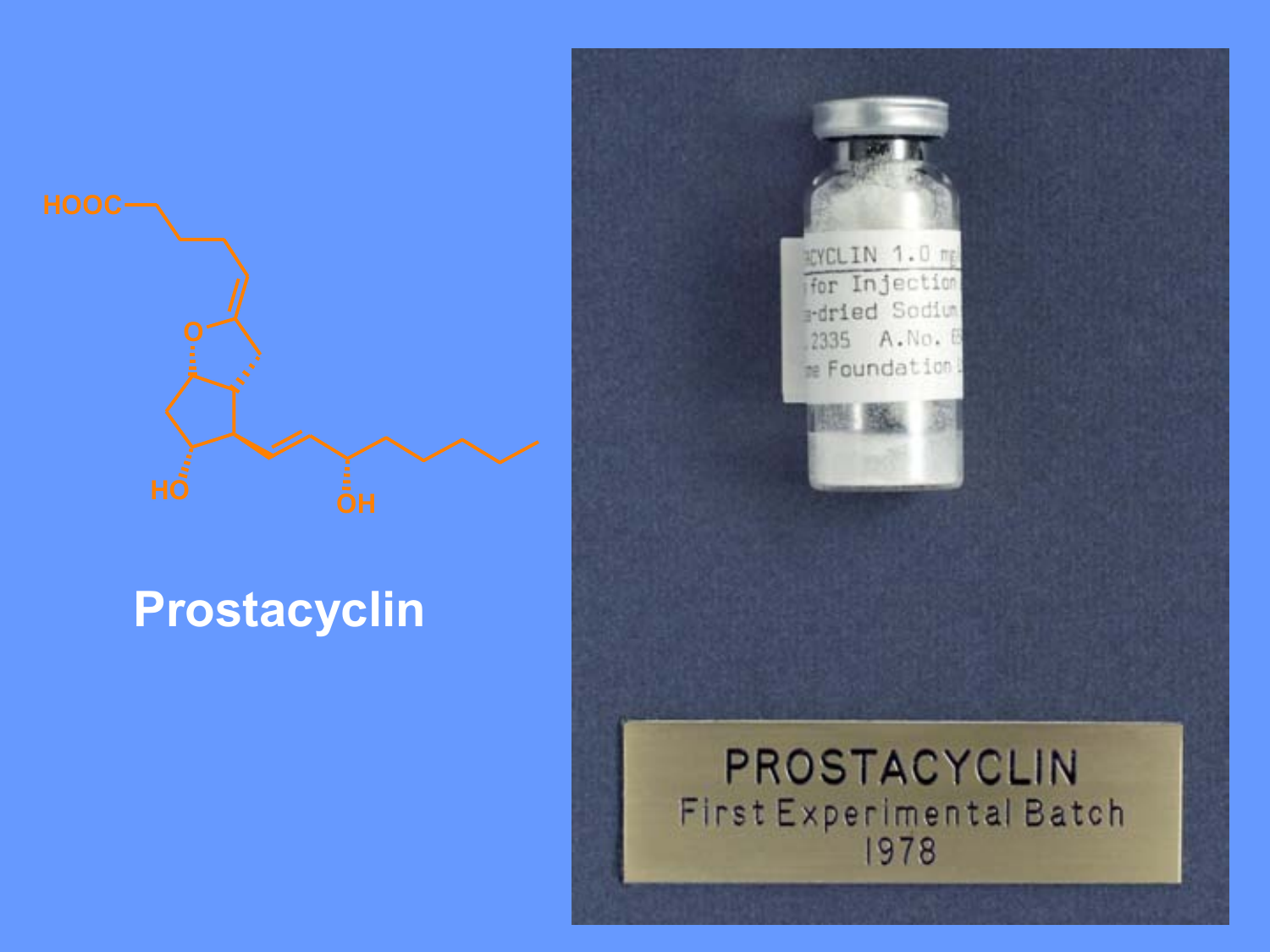

## **Prostacyclin**

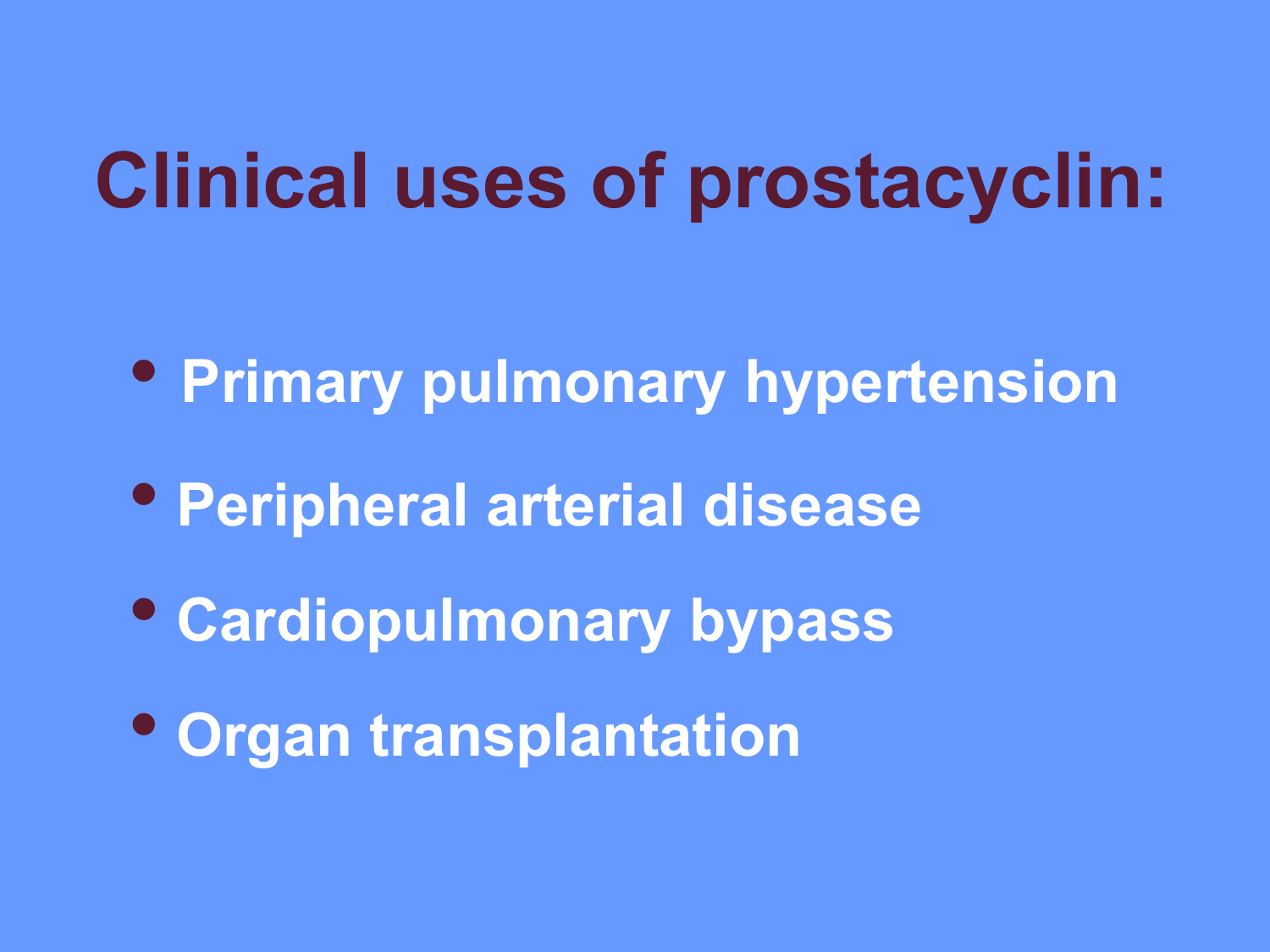## **Clinical uses of prostacyclin:**

- **Primary pulmonary hypertension**
- **Peripheral arterial disease**
- **Cardiopulmonary bypass**
- **Organ transplantation**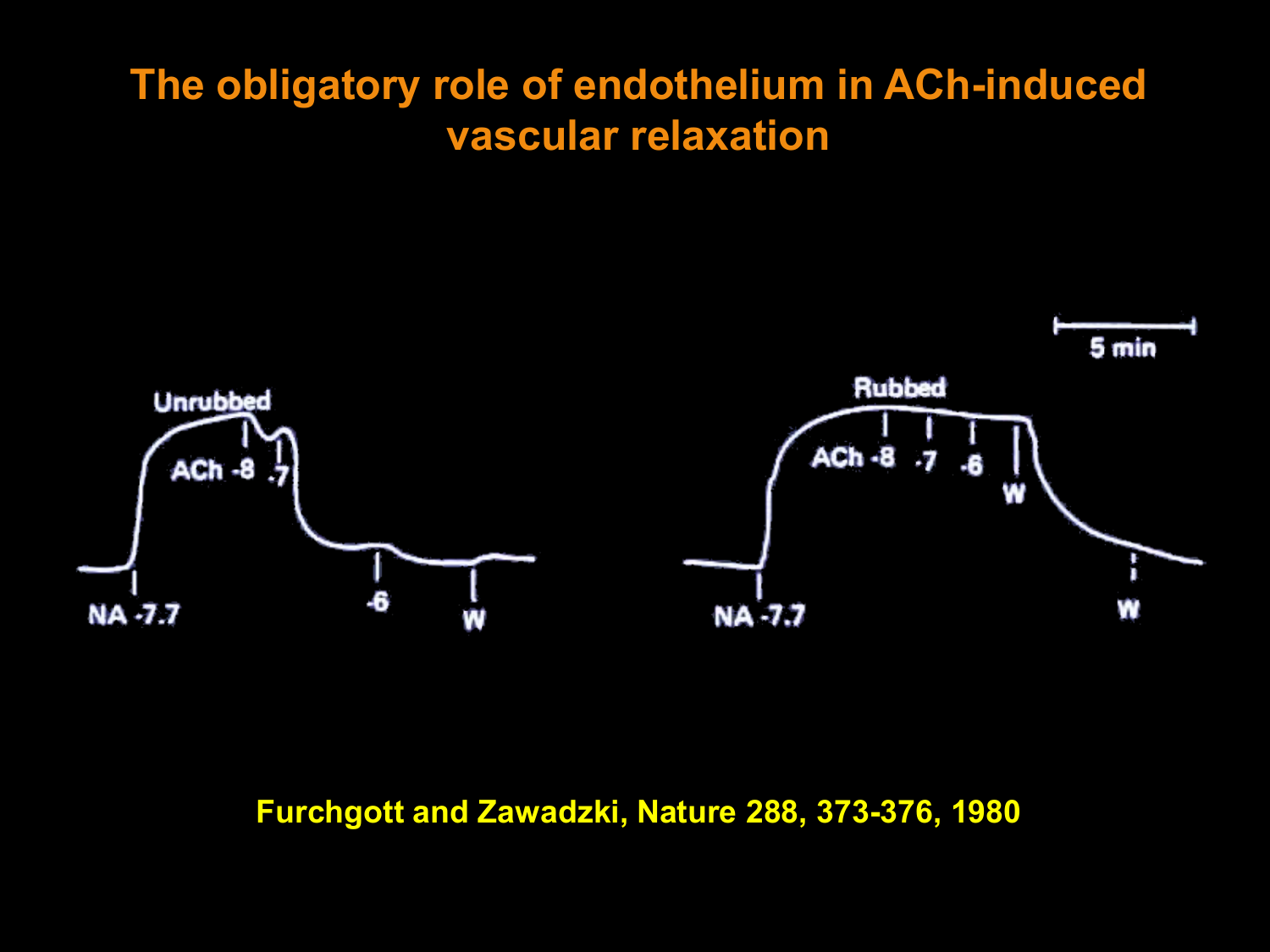### **The obligatory role of endothelium in ACh-induced vascular relaxation**



#### **Furchgott and Zawadzki, Nature 288, 373-376, 1980**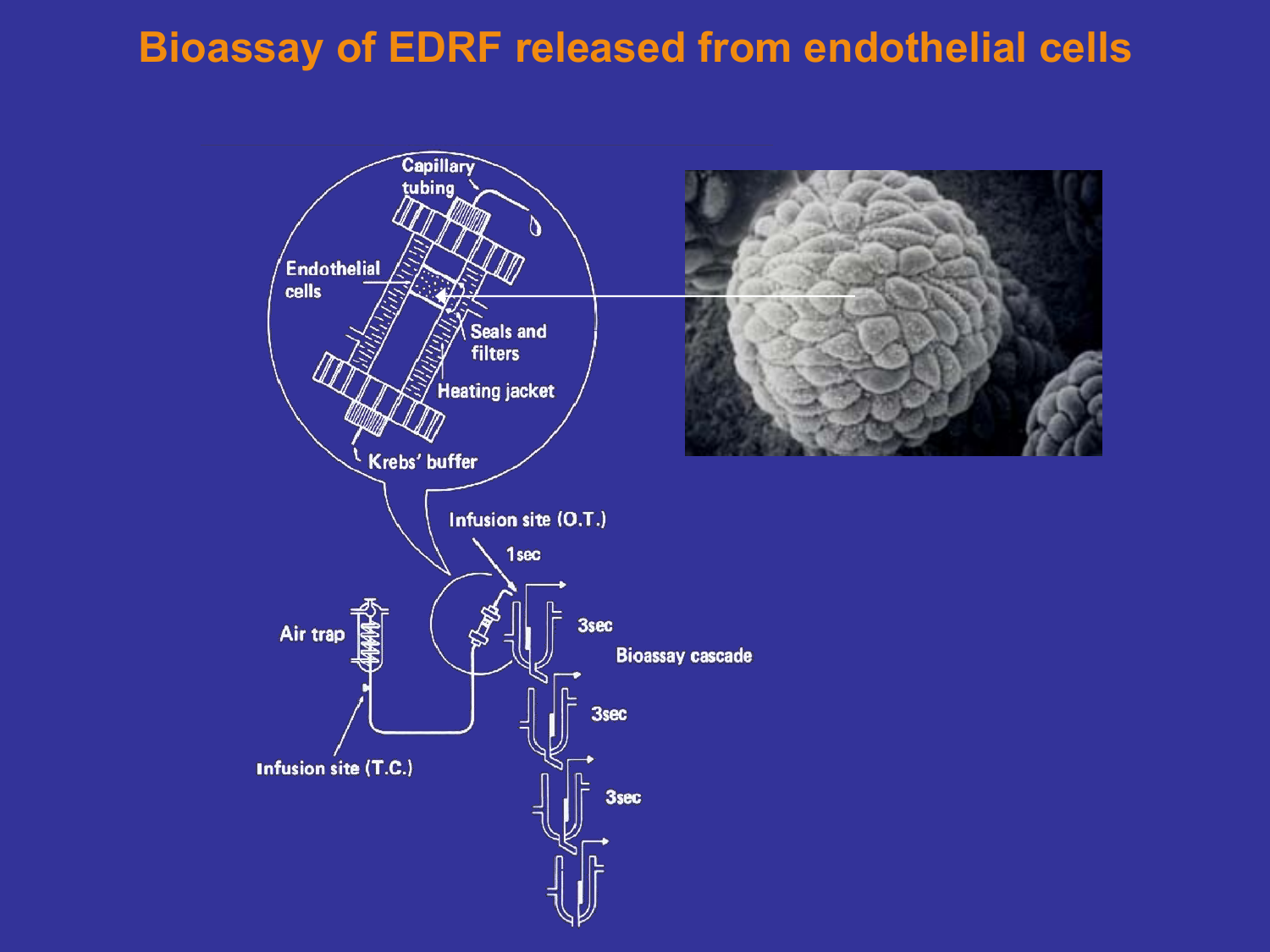### **Bioassay of EDRF released from endothelial cells**

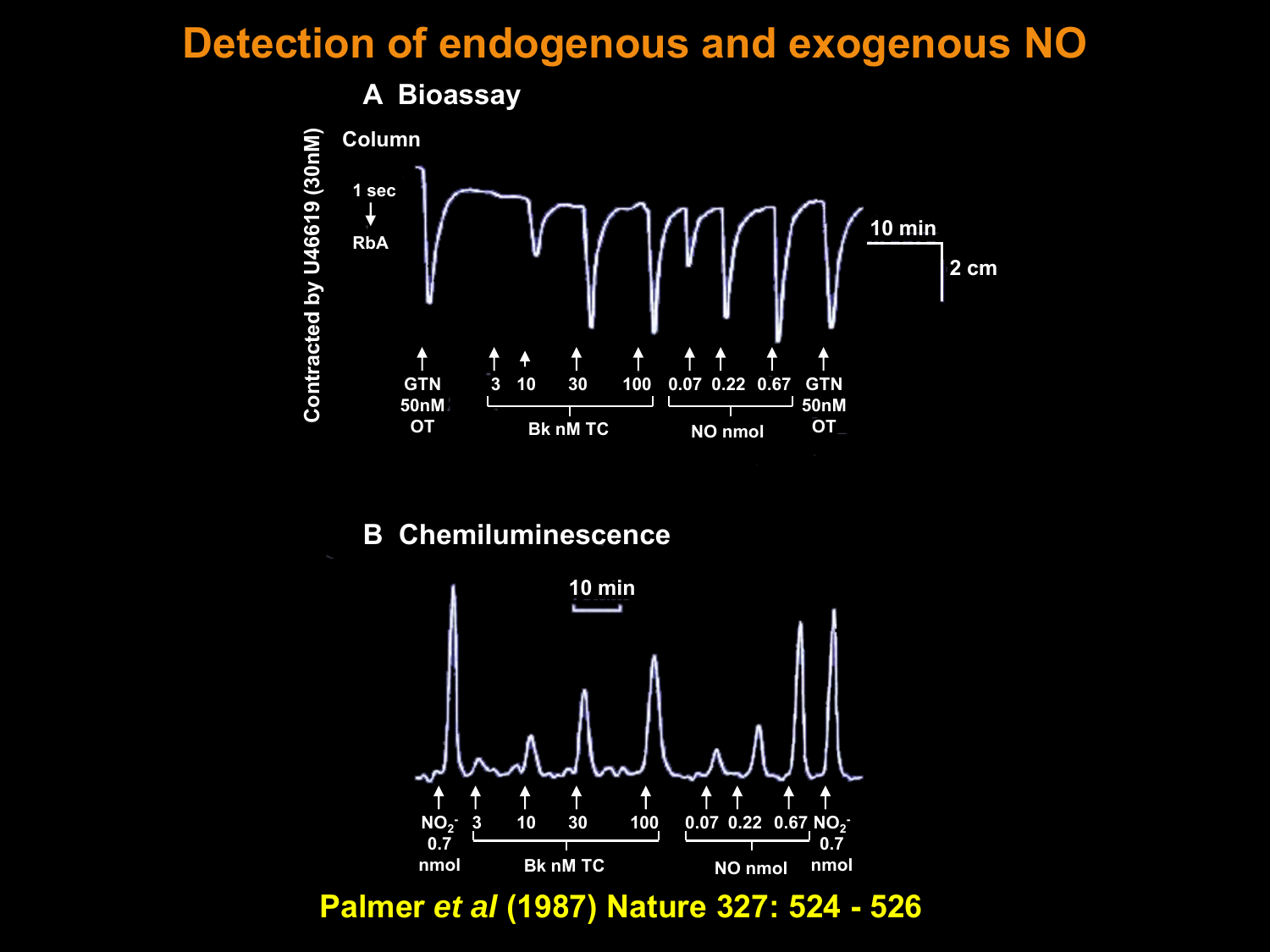### **Detection of endogenous and exogenous NO**



**B Chemiluminescence**



**Palmer** *et al* **(1987) Nature 327: 524 - 526**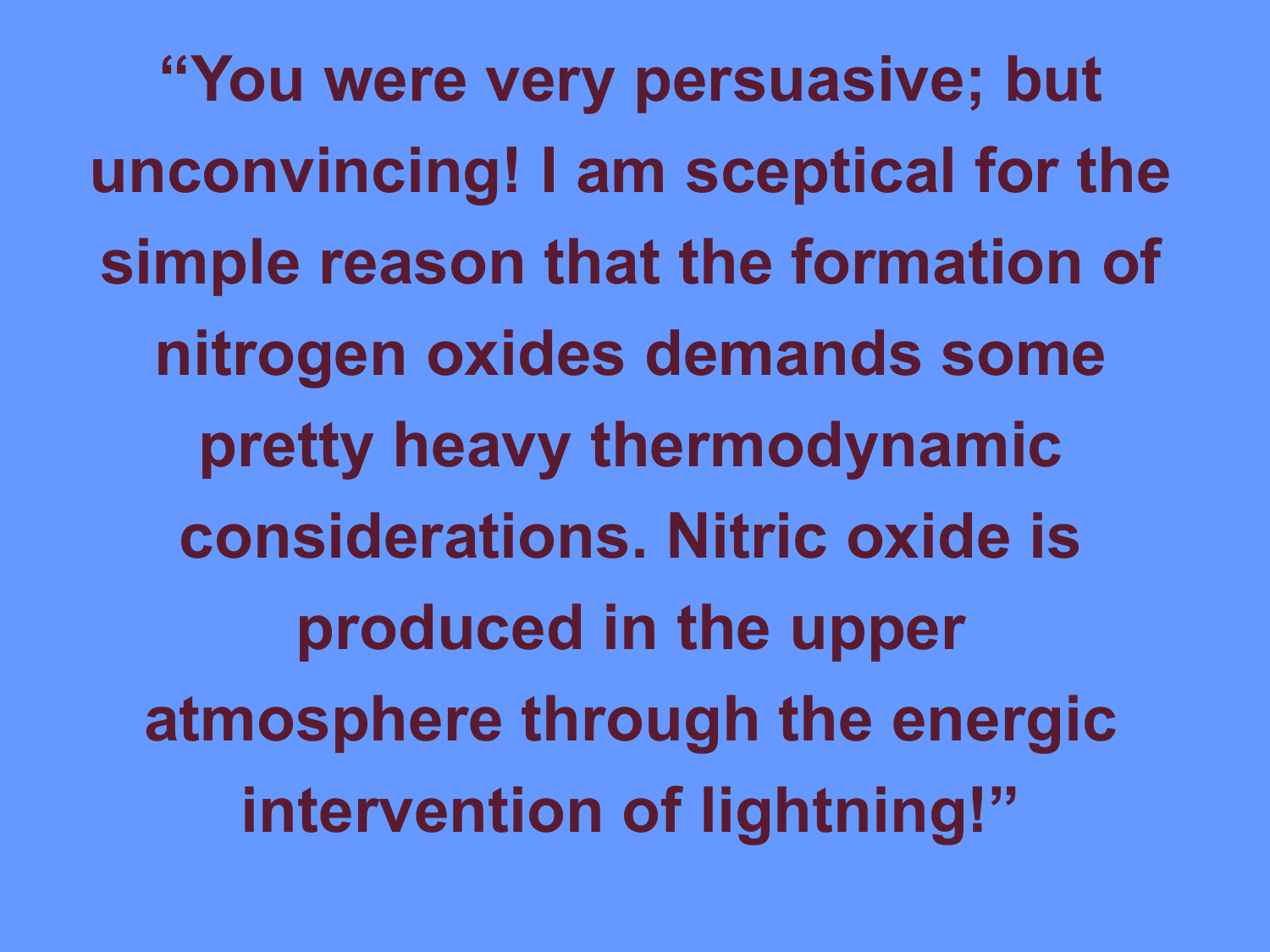**"You were very persuasive; but unconvincing! I am sceptical for the simple reason that the formation of nitrogen oxides demands some pretty heavy thermodynamic considerations. Nitric oxide is produced in the upper atmosphere through the energic intervention of lightning!"**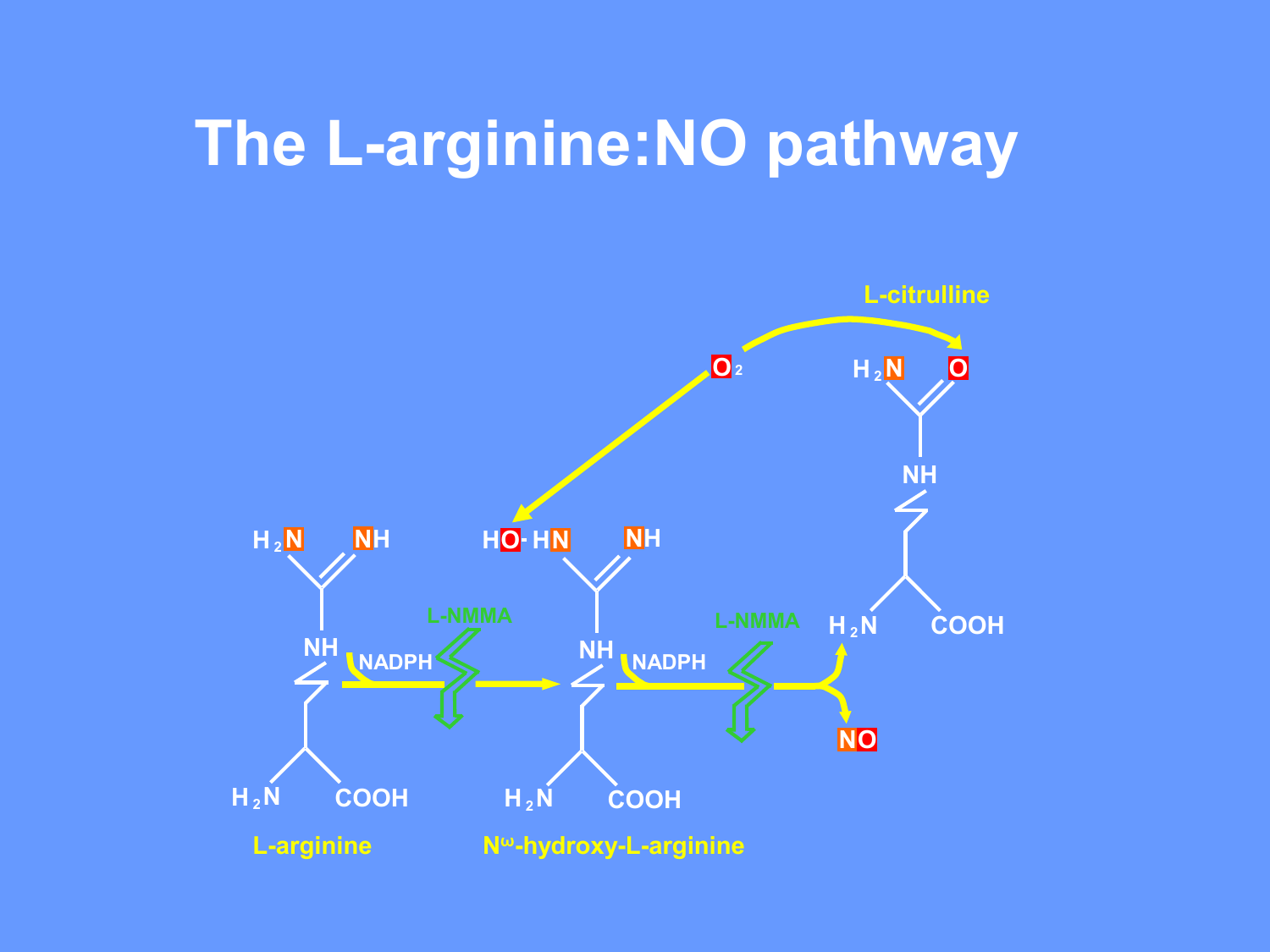## **The L-arginine:NO pathway**

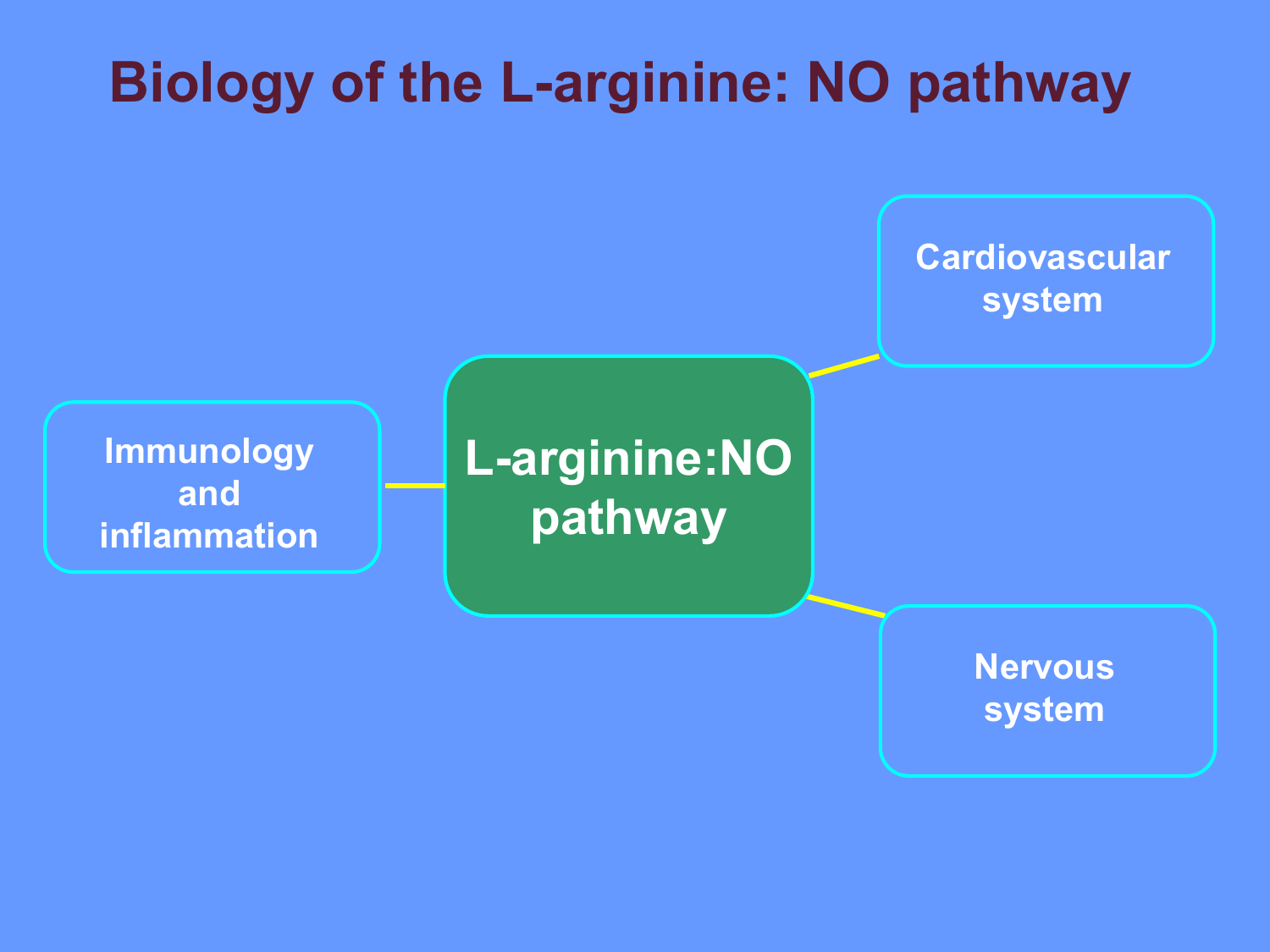## **Biology of the L-arginine: NO pathway**

**Cardiovascular system**

**Immunology and inflammation** **L-arginine:NO pathway**

> **Nervous system**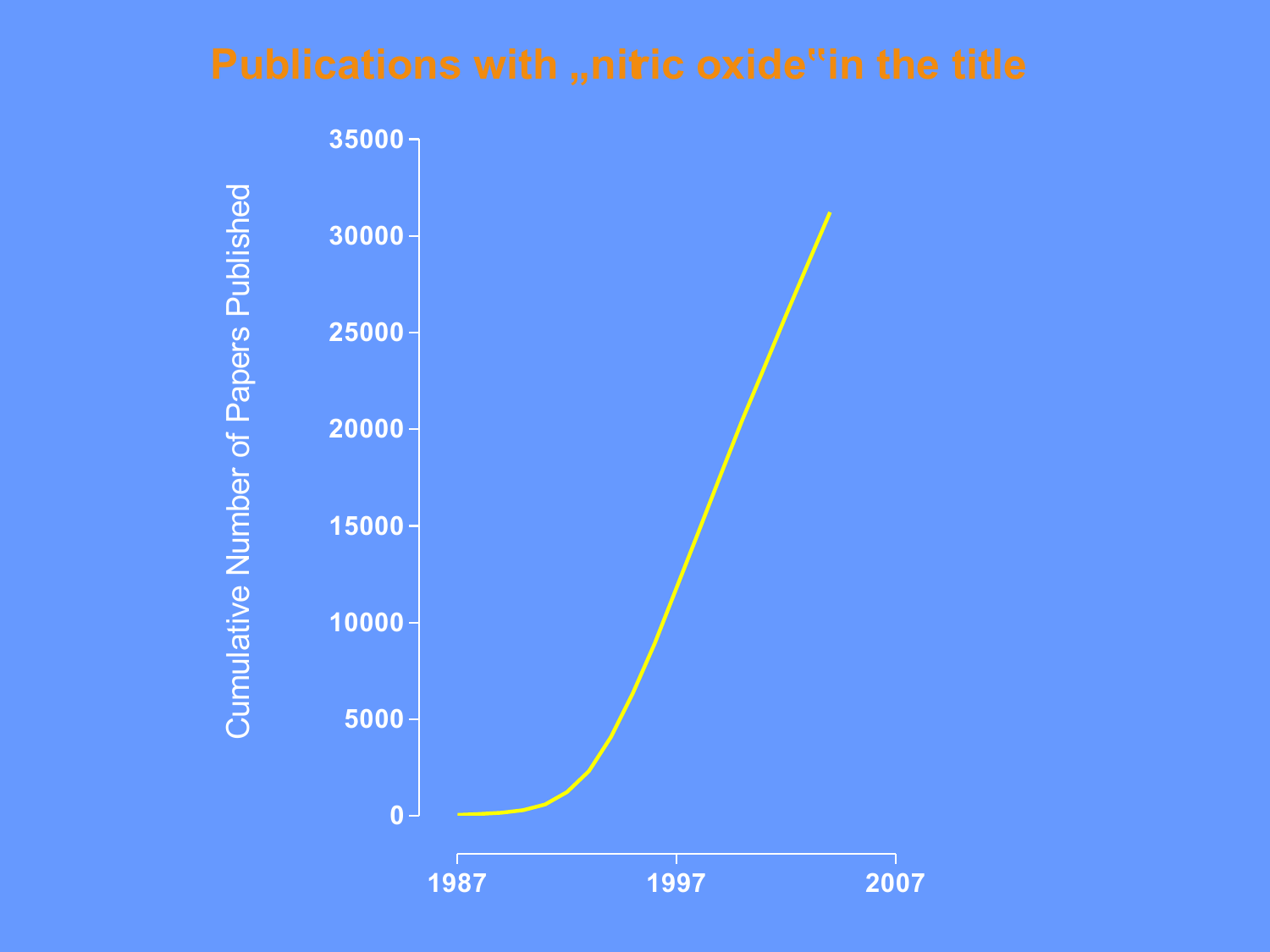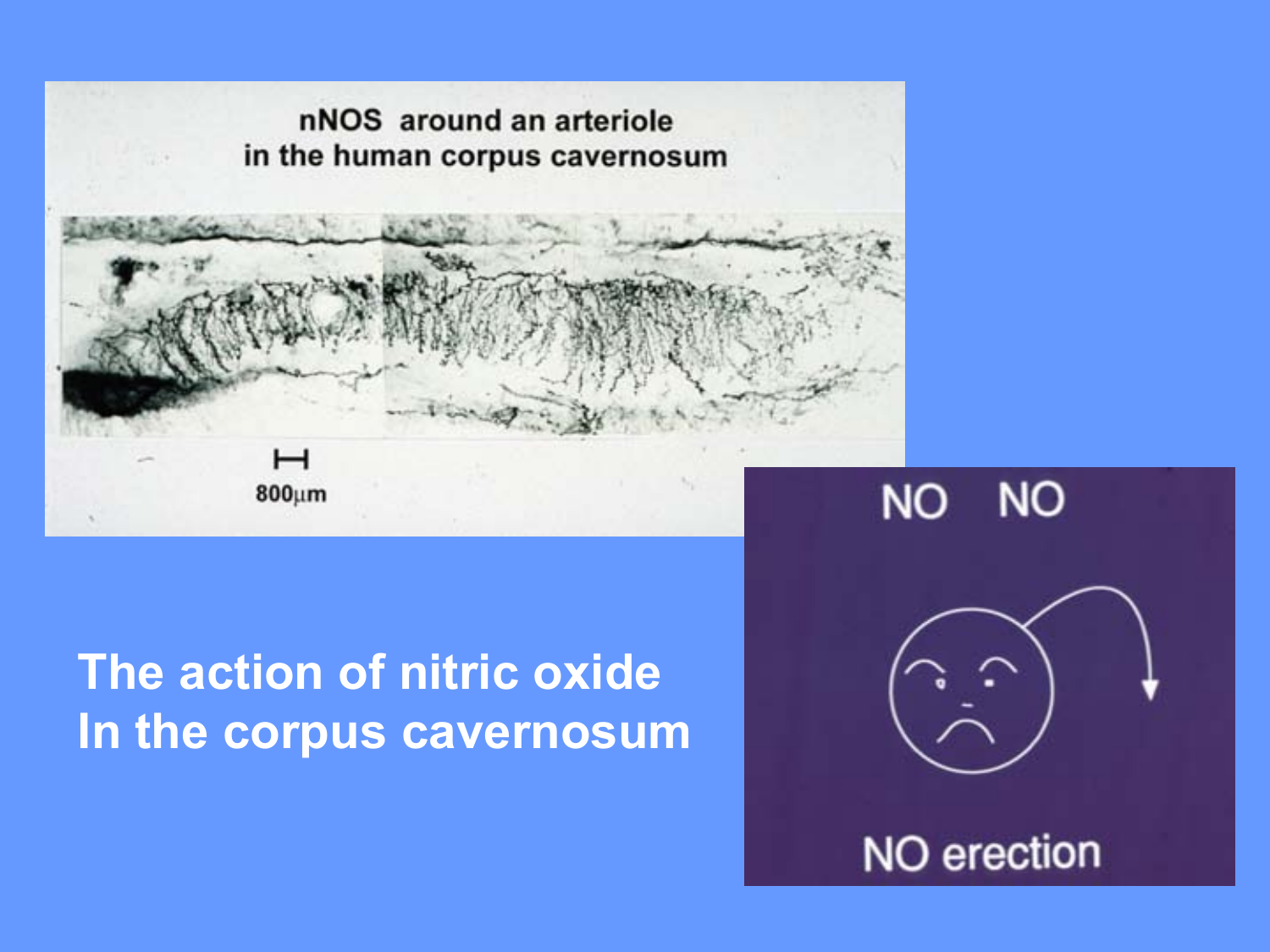

## **The action of nitric oxide In the corpus cavernosum**



**NO** 

NO erection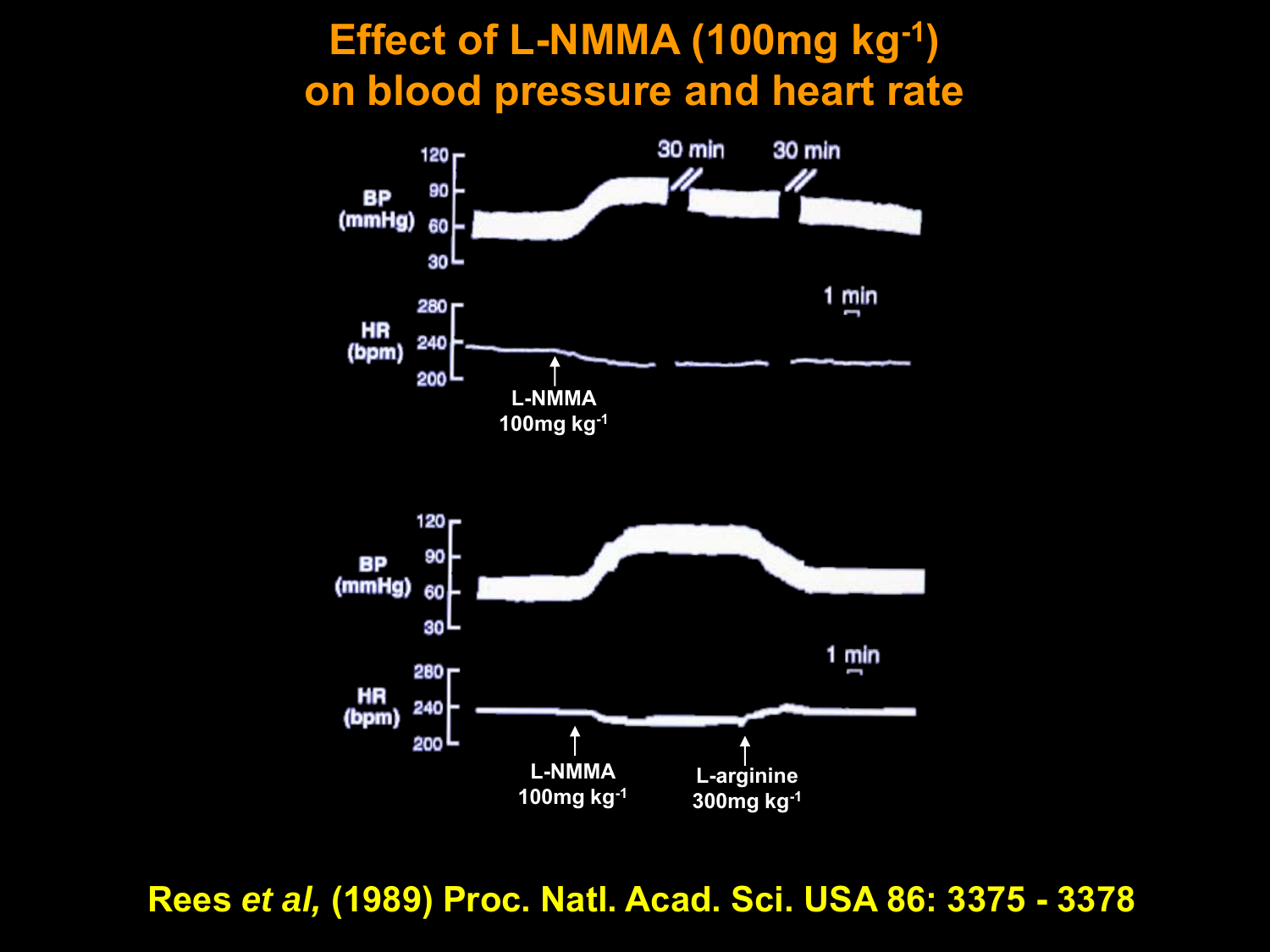### **Effect of L-NMMA (100mg kg-1) on blood pressure and heart rate**



**Rees** *et al,* **(1989) Proc. Natl. Acad. Sci. USA 86: 3375 - 3378**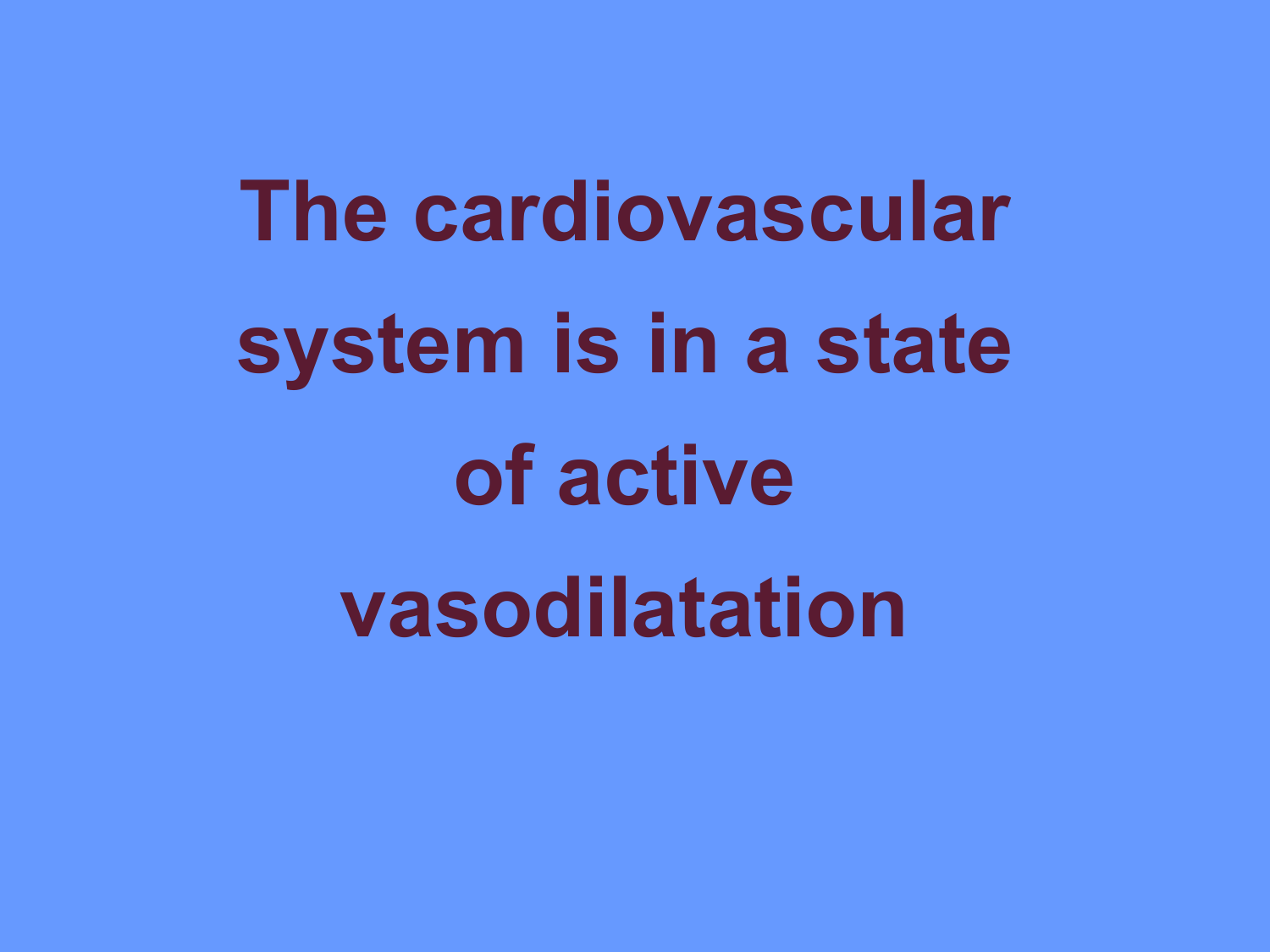# **The cardiovascular system is in a state of active vasodilatation**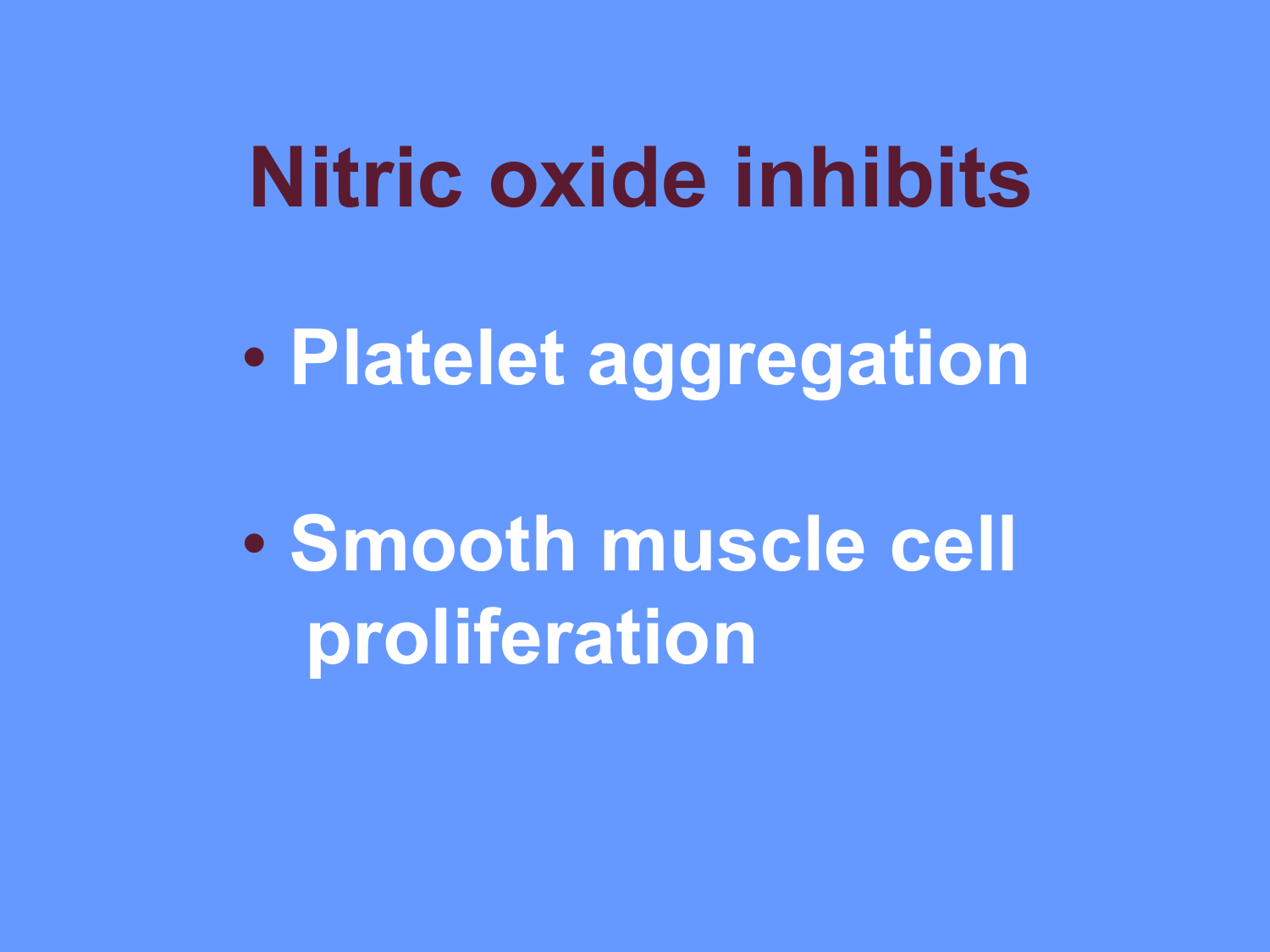## **Nitric oxide inhibits**

• **Platelet aggregation**

• **Smooth muscle cell proliferation**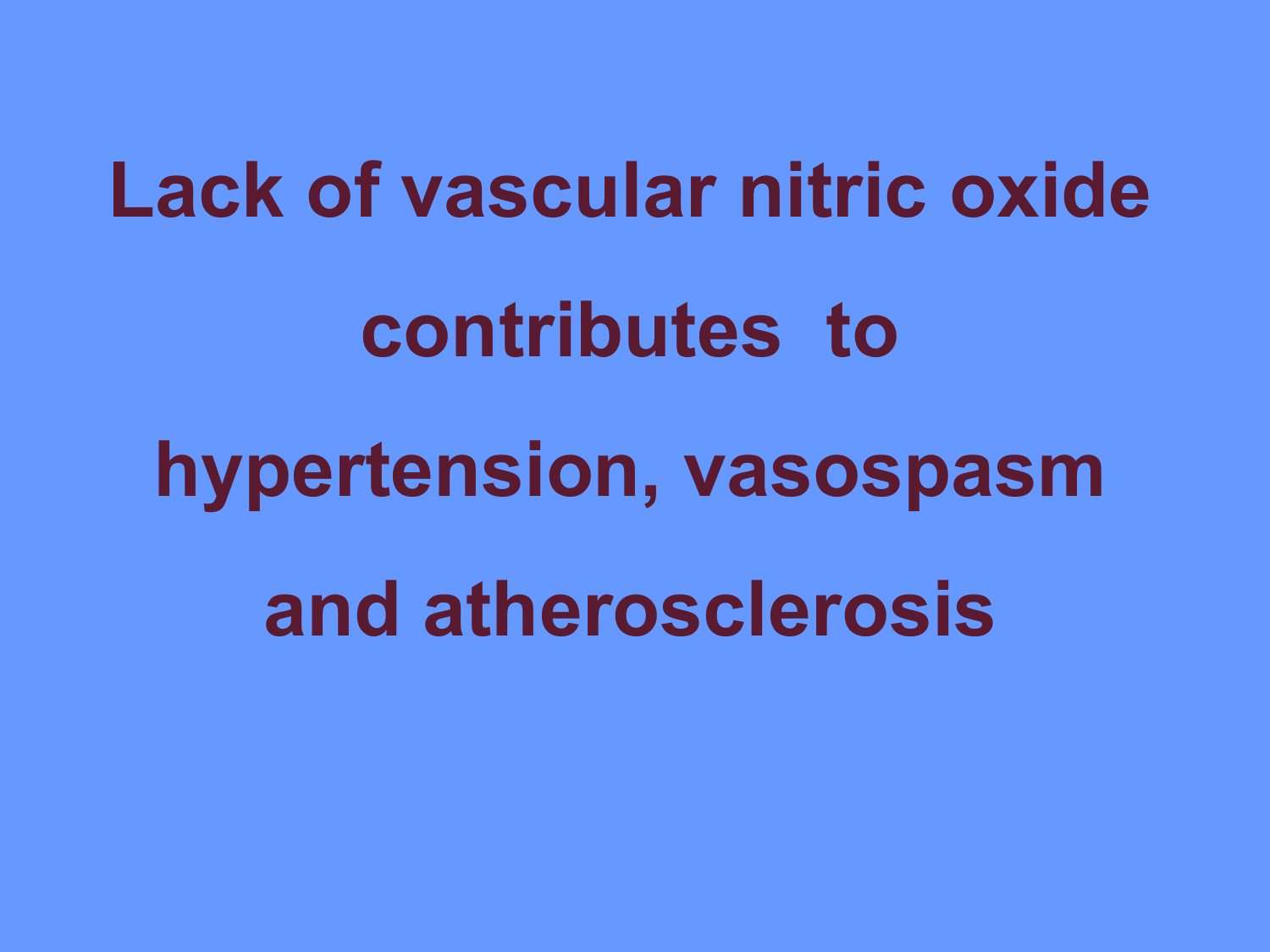# **Lack of vascular nitric oxide contributes to**

# **hypertension, vasospasm and atherosclerosis**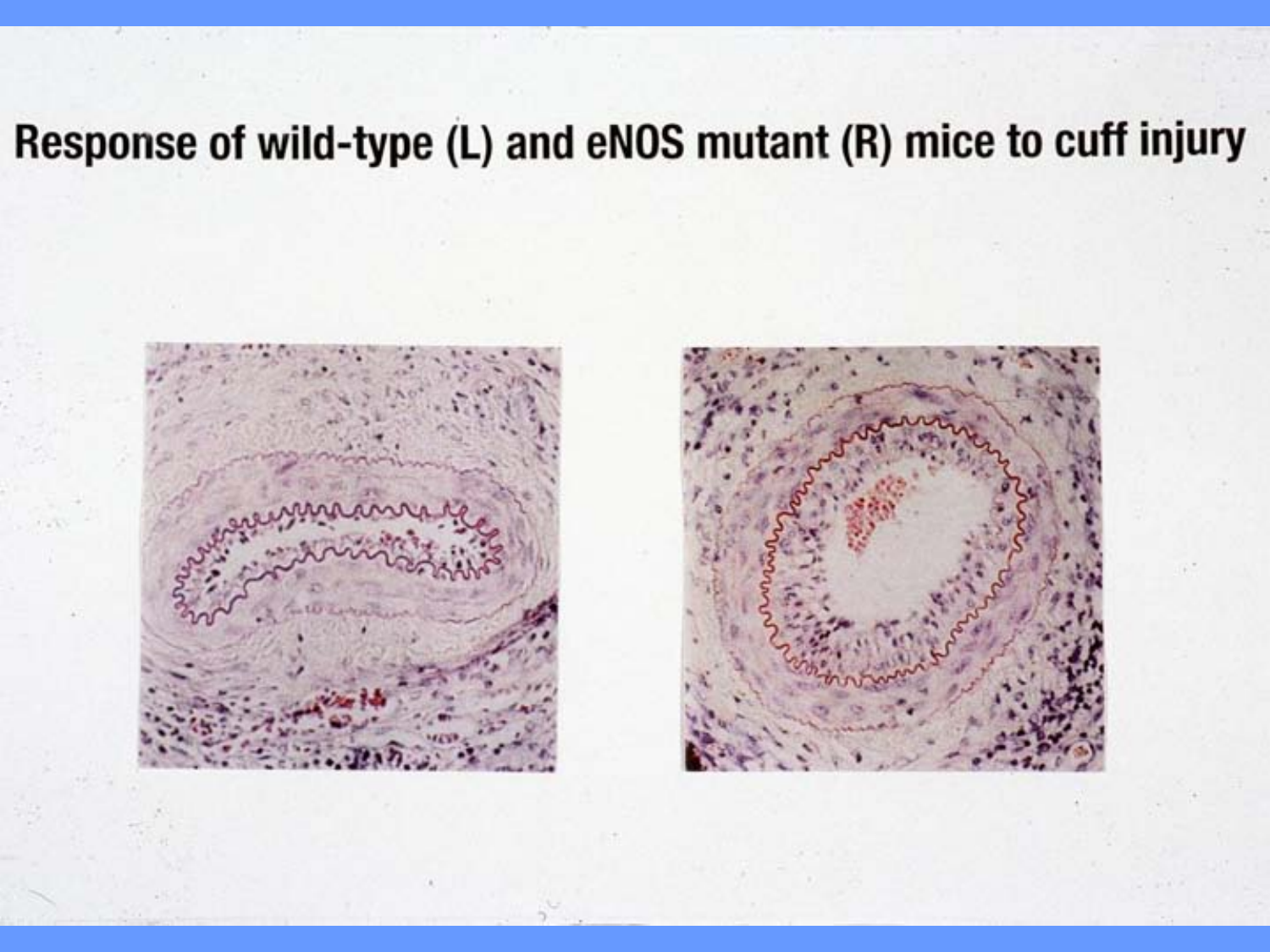## Response of wild-type (L) and eNOS mutant (R) mice to cuff injury



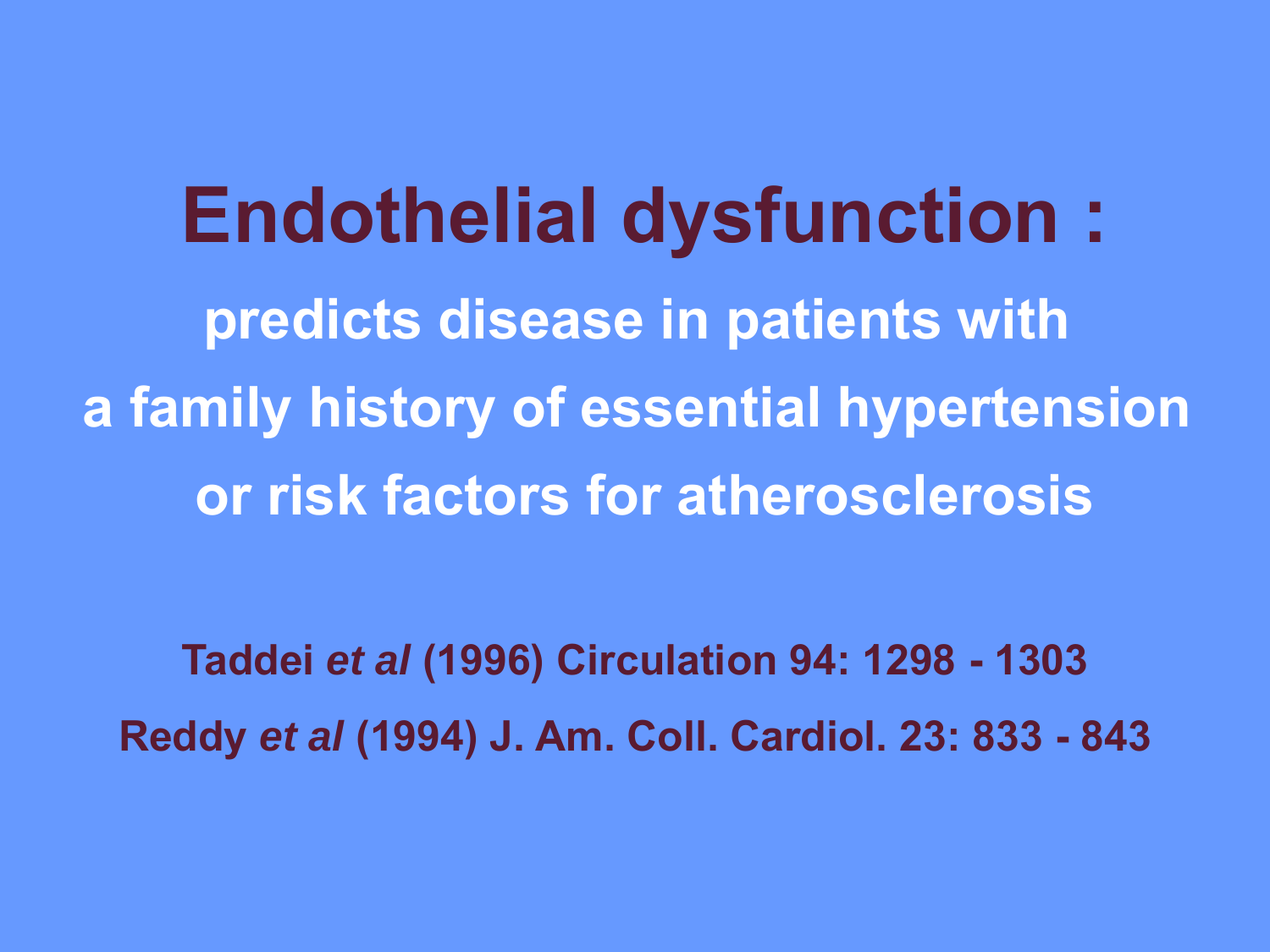**Endothelial dysfunction : predicts disease in patients with a family history of essential hypertension or risk factors for atherosclerosis**

**Taddei** *et al* **(1996) Circulation 94: 1298 - 1303 Reddy** *et al* **(1994) J. Am. Coll. Cardiol. 23: 833 - 843**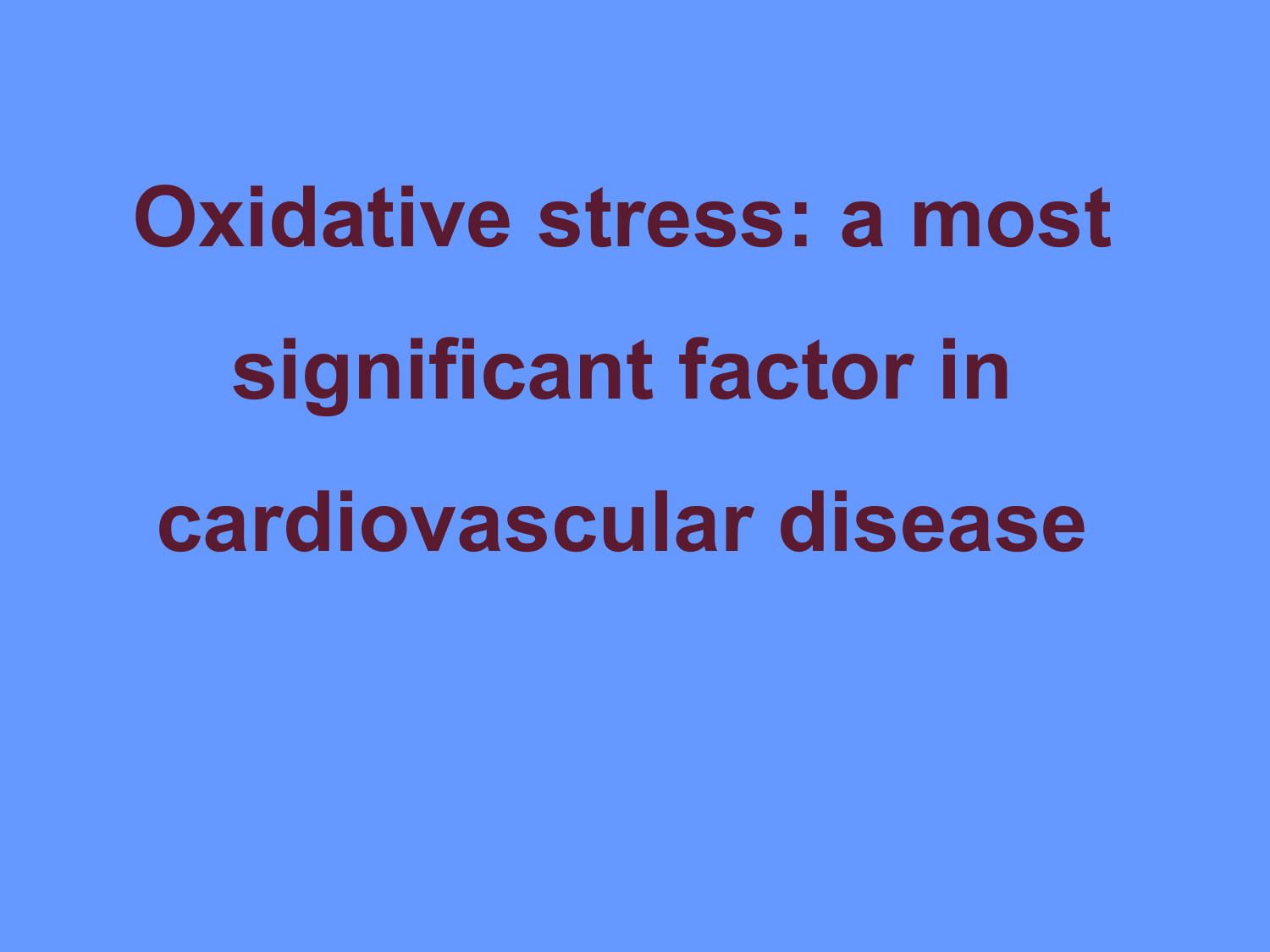# **Oxidative stress: a most significant factor in cardiovascular disease**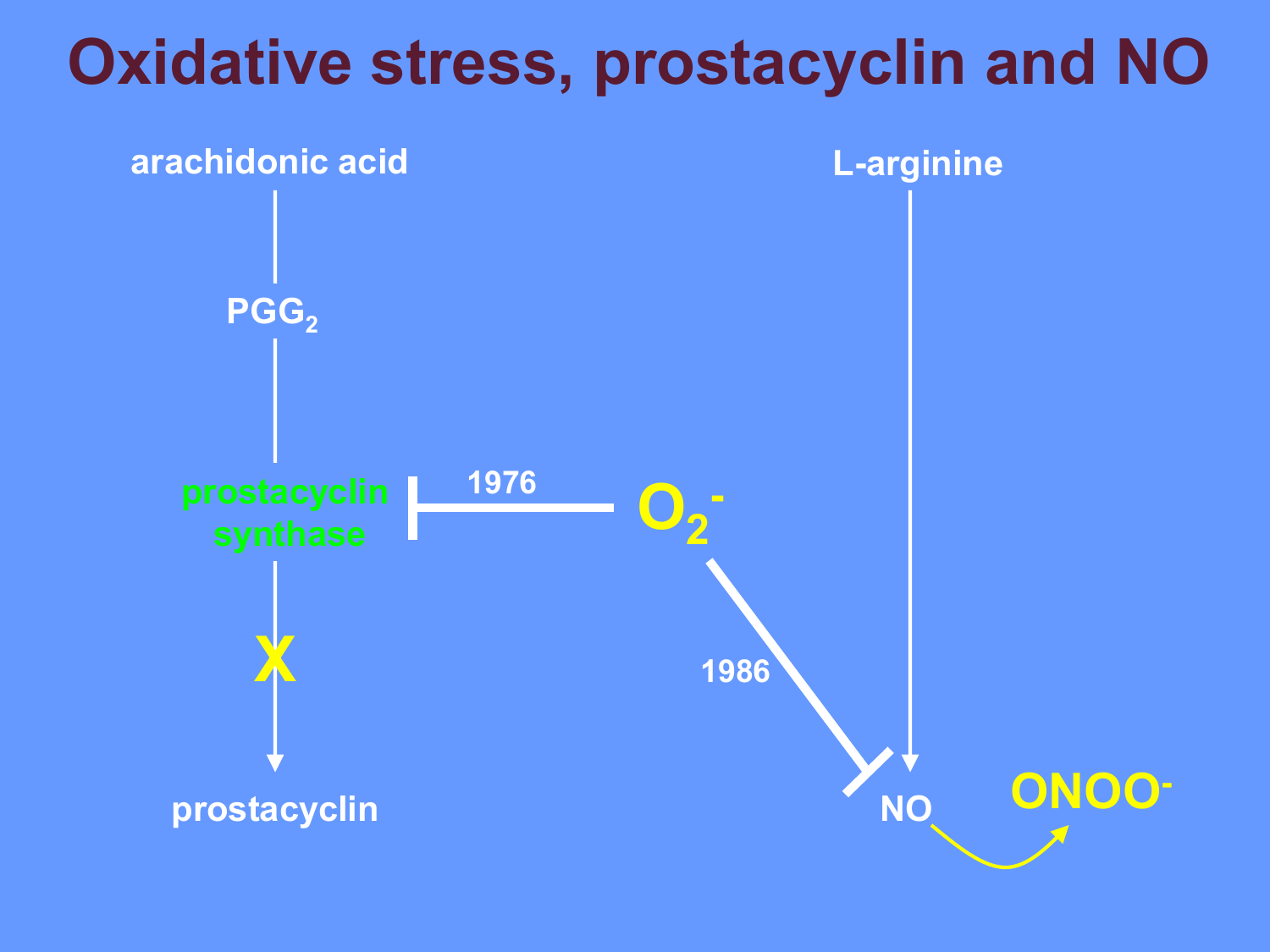## **Oxidative stress, prostacyclin and NO**

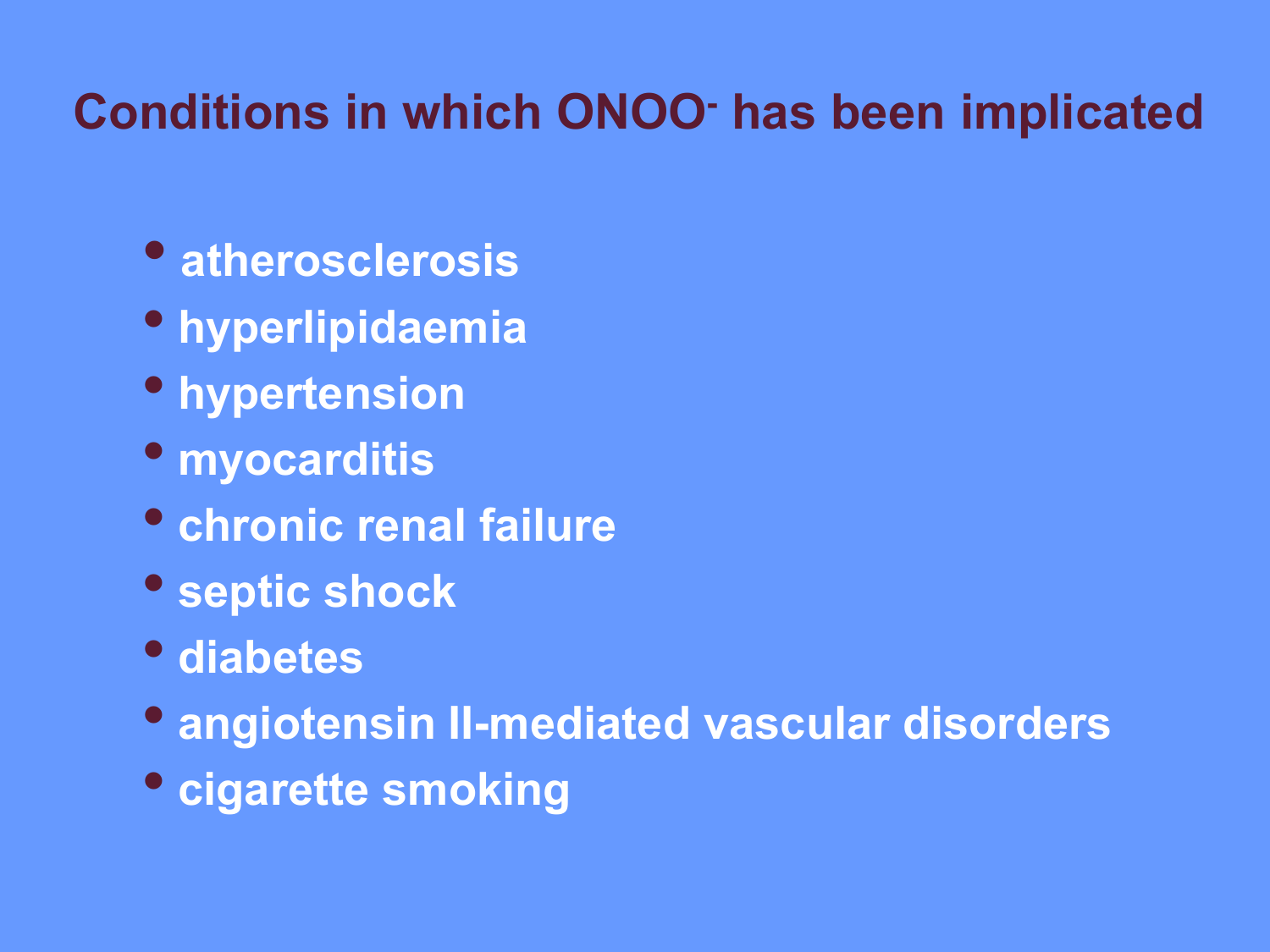## **Conditions in which ONOO- has been implicated**

- **atherosclerosis**
- **hyperlipidaemia**
- **hypertension**
- **myocarditis**
- **chronic renal failure**
- **septic shock**
- **diabetes**
- **angiotensin II-mediated vascular disorders**
- **cigarette smoking**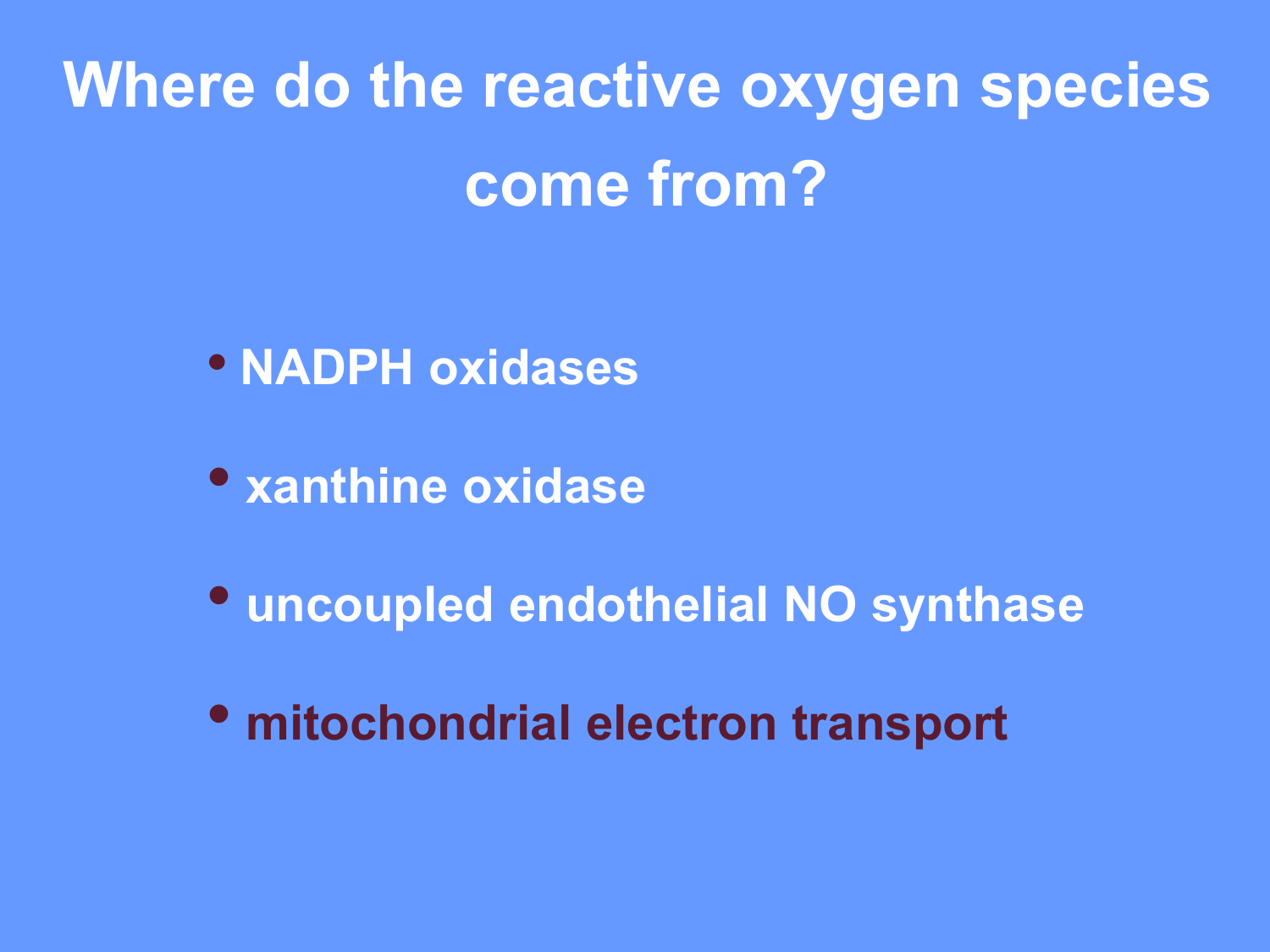**Where do the reactive oxygen species come from?**

- **NADPH oxidases**
- **xanthine oxidase**
- **uncoupled endothelial NO synthase**
- **mitochondrial electron transport**